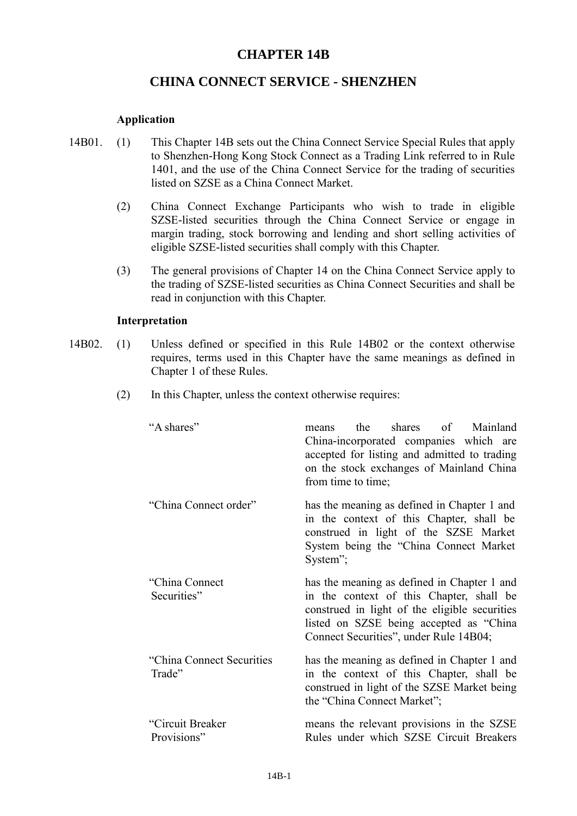# **CHAPTER 14B**

# **CHINA CONNECT SERVICE - SHENZHEN**

# **Application**

- 14B01. (1) This Chapter 14B sets out the China Connect Service Special Rules that apply to Shenzhen-Hong Kong Stock Connect as a Trading Link referred to in Rule 1401, and the use of the China Connect Service for the trading of securities listed on SZSE as a China Connect Market.
	- (2) China Connect Exchange Participants who wish to trade in eligible SZSE-listed securities through the China Connect Service or engage in margin trading, stock borrowing and lending and short selling activities of eligible SZSE-listed securities shall comply with this Chapter.
	- (3) The general provisions of Chapter 14 on the China Connect Service apply to the trading of SZSE-listed securities as China Connect Securities and shall be read in conjunction with this Chapter.

#### **Interpretation**

- 14B02. (1) Unless defined or specified in this Rule 14B02 or the context otherwise requires, terms used in this Chapter have the same meanings as defined in Chapter 1 of these Rules.
	- (2) In this Chapter, unless the context otherwise requires:

| "A shares"                           | the shares of Mainland<br>means<br>China-incorporated companies which are<br>accepted for listing and admitted to trading<br>on the stock exchanges of Mainland China<br>from time to time;                                   |  |
|--------------------------------------|-------------------------------------------------------------------------------------------------------------------------------------------------------------------------------------------------------------------------------|--|
| "China Connect order"                | has the meaning as defined in Chapter 1 and<br>in the context of this Chapter, shall be<br>construed in light of the SZSE Market<br>System being the "China Connect Market<br>System";                                        |  |
| "China Connect"<br>Securities"       | has the meaning as defined in Chapter 1 and<br>in the context of this Chapter, shall be<br>construed in light of the eligible securities<br>listed on SZSE being accepted as "China<br>Connect Securities", under Rule 14B04; |  |
| "China Connect Securities"<br>Trade" | has the meaning as defined in Chapter 1 and<br>in the context of this Chapter, shall be<br>construed in light of the SZSE Market being<br>the "China Connect Market";                                                         |  |
| "Circuit Breaker<br>Provisions"      | means the relevant provisions in the SZSE<br>Rules under which SZSE Circuit Breakers                                                                                                                                          |  |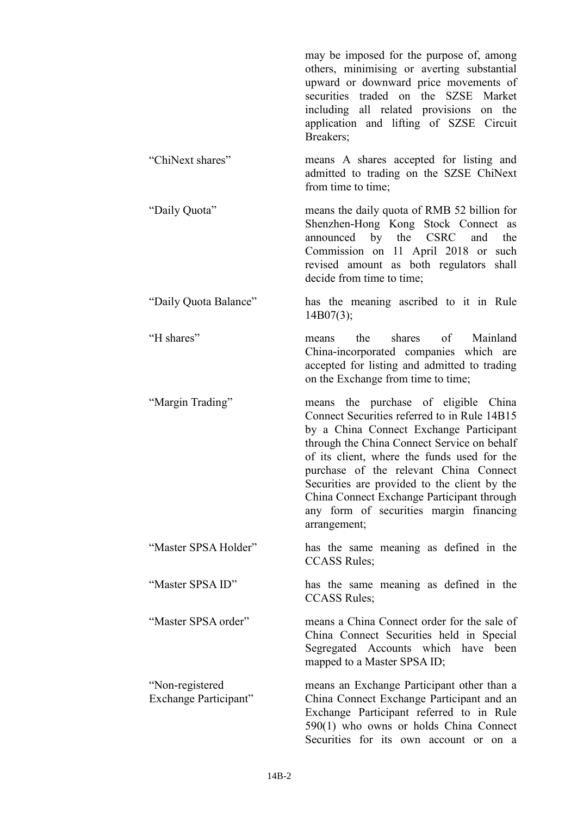|                                          | may be imposed for the purpose of, among<br>others, minimising or averting substantial<br>upward or downward price movements of<br>securities traded on the SZSE Market<br>including all related provisions on the<br>application and lifting of SZSE Circuit<br>Breakers;                                                                                                                                                       |
|------------------------------------------|----------------------------------------------------------------------------------------------------------------------------------------------------------------------------------------------------------------------------------------------------------------------------------------------------------------------------------------------------------------------------------------------------------------------------------|
| "ChiNext shares"                         | means A shares accepted for listing and<br>admitted to trading on the SZSE ChiNext<br>from time to time;                                                                                                                                                                                                                                                                                                                         |
| "Daily Quota"                            | means the daily quota of RMB 52 billion for<br>Shenzhen-Hong Kong Stock Connect as<br>announced by the CSRC<br>and<br>the<br>Commission on 11 April 2018 or such<br>revised amount as both regulators shall<br>decide from time to time;                                                                                                                                                                                         |
| "Daily Quota Balance"                    | has the meaning ascribed to it in Rule<br>14B07(3);                                                                                                                                                                                                                                                                                                                                                                              |
| "H shares"                               | shares of Mainland<br>the<br>means<br>China-incorporated companies which are<br>accepted for listing and admitted to trading<br>on the Exchange from time to time;                                                                                                                                                                                                                                                               |
| "Margin Trading"                         | means the purchase of eligible China<br>Connect Securities referred to in Rule 14B15<br>by a China Connect Exchange Participant<br>through the China Connect Service on behalf<br>of its client, where the funds used for the<br>purchase of the relevant China Connect<br>Securities are provided to the client by the<br>China Connect Exchange Participant through<br>any form of securities margin financing<br>arrangement; |
| "Master SPSA Holder"                     | has the same meaning as defined in the<br><b>CCASS Rules;</b>                                                                                                                                                                                                                                                                                                                                                                    |
| "Master SPSA ID"                         | has the same meaning as defined in the<br><b>CCASS Rules:</b>                                                                                                                                                                                                                                                                                                                                                                    |
| "Master SPSA order"                      | means a China Connect order for the sale of<br>China Connect Securities held in Special<br>Segregated Accounts which have been<br>mapped to a Master SPSA ID;                                                                                                                                                                                                                                                                    |
| "Non-registered<br>Exchange Participant" | means an Exchange Participant other than a<br>China Connect Exchange Participant and an<br>Exchange Participant referred to in Rule<br>590(1) who owns or holds China Connect                                                                                                                                                                                                                                                    |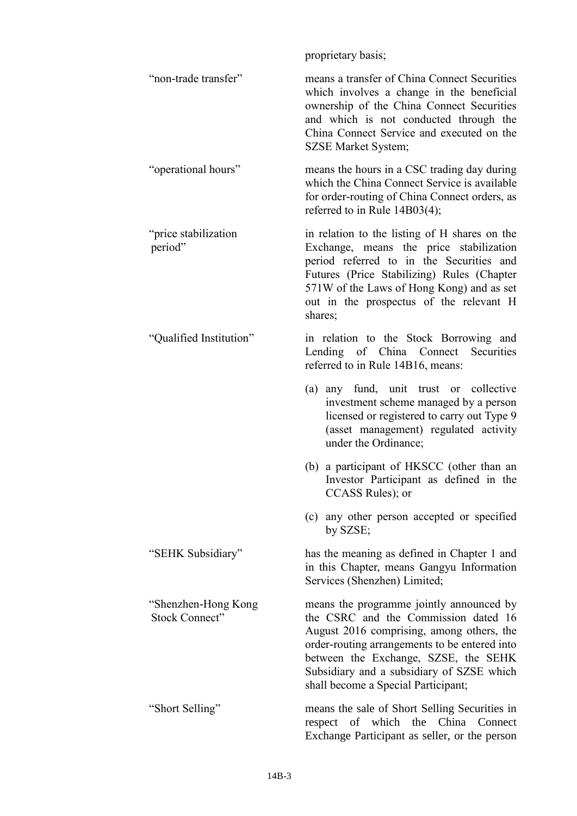proprietary basis; "non-trade transfer" means a transfer of China Connect Securities which involves a change in the beneficial ownership of the China Connect Securities and which is not conducted through the China Connect Service and executed on the SZSE Market System; "operational hours" means the hours in a CSC trading day during which the China Connect Service is available for order-routing of China Connect orders, as referred to in Rule 14B03(4); "price stabilization period" in relation to the listing of H shares on the Exchange, means the price stabilization period referred to in the Securities and Futures (Price Stabilizing) Rules (Chapter 571W of the Laws of Hong Kong) and as set out in the prospectus of the relevant H shares; "Qualified Institution" in relation to the Stock Borrowing and Lending of China Connect Securities referred to in Rule 14B16, means: (a) any fund, unit trust or collective investment scheme managed by a person licensed or registered to carry out Type 9 (asset management) regulated activity under the Ordinance; (b) a participant of HKSCC (other than an Investor Participant as defined in the CCASS Rules); or (c) any other person accepted or specified by SZSE; "SEHK Subsidiary" has the meaning as defined in Chapter 1 and in this Chapter, means Gangyu Information Services (Shenzhen) Limited; "Shenzhen-Hong Kong Stock Connect" means the programme jointly announced by the CSRC and the Commission dated 16 August 2016 comprising, among others, the order-routing arrangements to be entered into between the Exchange, SZSE, the SEHK Subsidiary and a subsidiary of SZSE which shall become a Special Participant; "Short Selling" means the sale of Short Selling Securities in respect of which the China Connect Exchange Participant as seller, or the person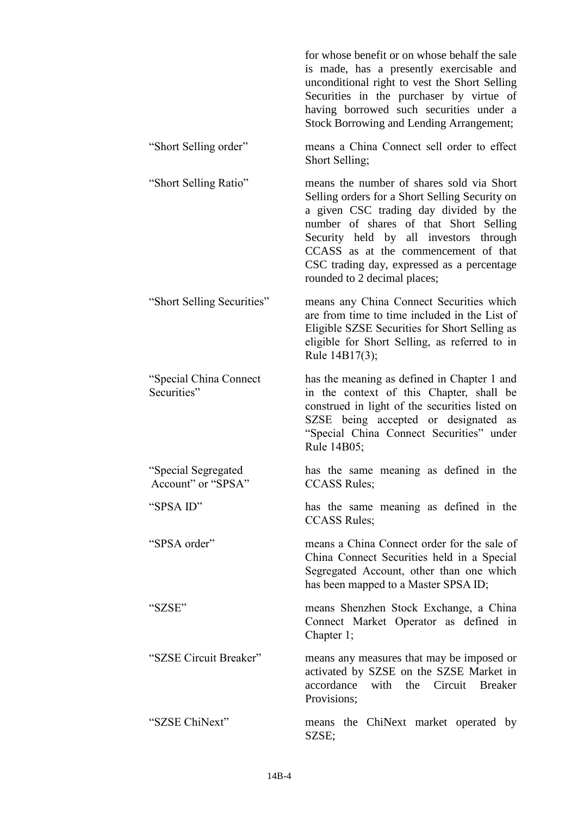|                                           | for whose benefit or on whose behalf the sale<br>is made, has a presently exercisable and<br>unconditional right to vest the Short Selling<br>Securities in the purchaser by virtue of<br>having borrowed such securities under a<br><b>Stock Borrowing and Lending Arrangement;</b>                                                            |
|-------------------------------------------|-------------------------------------------------------------------------------------------------------------------------------------------------------------------------------------------------------------------------------------------------------------------------------------------------------------------------------------------------|
| "Short Selling order"                     | means a China Connect sell order to effect<br>Short Selling;                                                                                                                                                                                                                                                                                    |
| "Short Selling Ratio"                     | means the number of shares sold via Short<br>Selling orders for a Short Selling Security on<br>a given CSC trading day divided by the<br>number of shares of that Short Selling<br>Security held by all investors through<br>CCASS as at the commencement of that<br>CSC trading day, expressed as a percentage<br>rounded to 2 decimal places; |
| "Short Selling Securities"                | means any China Connect Securities which<br>are from time to time included in the List of<br>Eligible SZSE Securities for Short Selling as<br>eligible for Short Selling, as referred to in<br>Rule 14B17(3);                                                                                                                                   |
| "Special China Connect"<br>Securities"    | has the meaning as defined in Chapter 1 and<br>in the context of this Chapter, shall be<br>construed in light of the securities listed on<br>SZSE being accepted or designated as<br>"Special China Connect Securities" under<br>Rule 14B05;                                                                                                    |
| "Special Segregated<br>Account" or "SPSA" | has the same meaning as defined in the<br><b>CCASS Rules;</b>                                                                                                                                                                                                                                                                                   |
| "SPSA ID"                                 | has the same meaning as defined in the<br><b>CCASS Rules;</b>                                                                                                                                                                                                                                                                                   |
| "SPSA order"                              | means a China Connect order for the sale of<br>China Connect Securities held in a Special<br>Segregated Account, other than one which<br>has been mapped to a Master SPSA ID;                                                                                                                                                                   |
| "SZSE"                                    | means Shenzhen Stock Exchange, a China<br>Connect Market Operator as defined in<br>Chapter 1;                                                                                                                                                                                                                                                   |
| "SZSE Circuit Breaker"                    | means any measures that may be imposed or<br>activated by SZSE on the SZSE Market in<br>accordance<br>with the Circuit Breaker<br>Provisions;                                                                                                                                                                                                   |
| "SZSE ChiNext"                            | means the ChiNext market operated by<br>SZSE;                                                                                                                                                                                                                                                                                                   |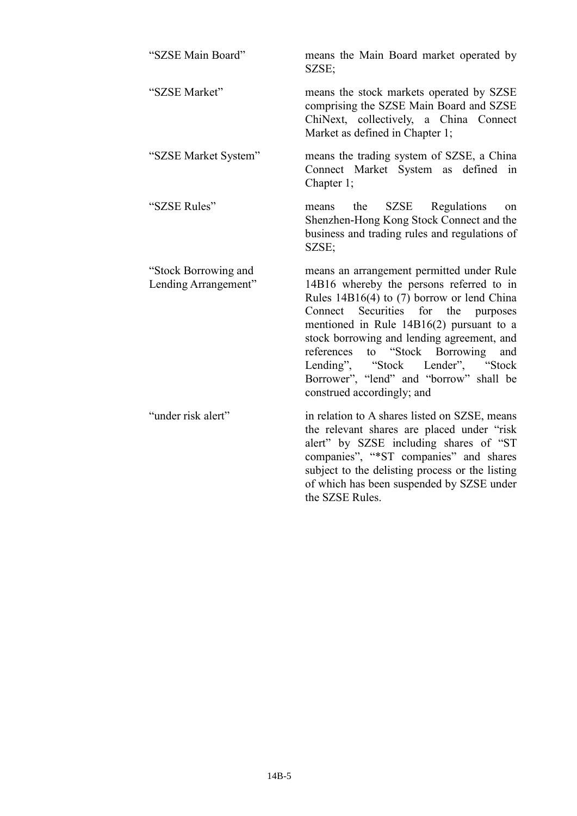| "SZSE Main Board"                            | means the Main Board market operated by<br>SZSE;                                                                                                                                                                                                                                                                                                                                                                                                    |  |
|----------------------------------------------|-----------------------------------------------------------------------------------------------------------------------------------------------------------------------------------------------------------------------------------------------------------------------------------------------------------------------------------------------------------------------------------------------------------------------------------------------------|--|
| "SZSE Market"                                | means the stock markets operated by SZSE<br>comprising the SZSE Main Board and SZSE<br>ChiNext, collectively, a China Connect<br>Market as defined in Chapter 1;                                                                                                                                                                                                                                                                                    |  |
| "SZSE Market System"                         | means the trading system of SZSE, a China<br>Connect Market System as<br>defined in<br>Chapter 1;                                                                                                                                                                                                                                                                                                                                                   |  |
| "SZSE Rules"                                 | the<br><b>SZSE</b><br>Regulations<br>means<br>on<br>Shenzhen-Hong Kong Stock Connect and the<br>business and trading rules and regulations of<br>SZSE;                                                                                                                                                                                                                                                                                              |  |
| "Stock Borrowing and<br>Lending Arrangement" | means an arrangement permitted under Rule<br>14B16 whereby the persons referred to in<br>Rules $14B16(4)$ to (7) borrow or lend China<br>Securities<br>for the<br>Connect<br>purposes<br>mentioned in Rule $14B16(2)$ pursuant to a<br>stock borrowing and lending agreement, and<br>"Stock Borrowing<br>references<br>to<br>and<br>Lending",<br>"Stock<br>Lender", "Stock<br>Borrower", "lend" and "borrow" shall be<br>construed accordingly; and |  |
| "under risk alert"                           | in relation to A shares listed on SZSE, means<br>the relevant shares are placed under "risk<br>alert" by SZSE including shares of "ST<br>companies", "*ST companies" and shares<br>subject to the delisting process or the listing<br>of which has been suspended by SZSE under<br>the SZSE Rules.                                                                                                                                                  |  |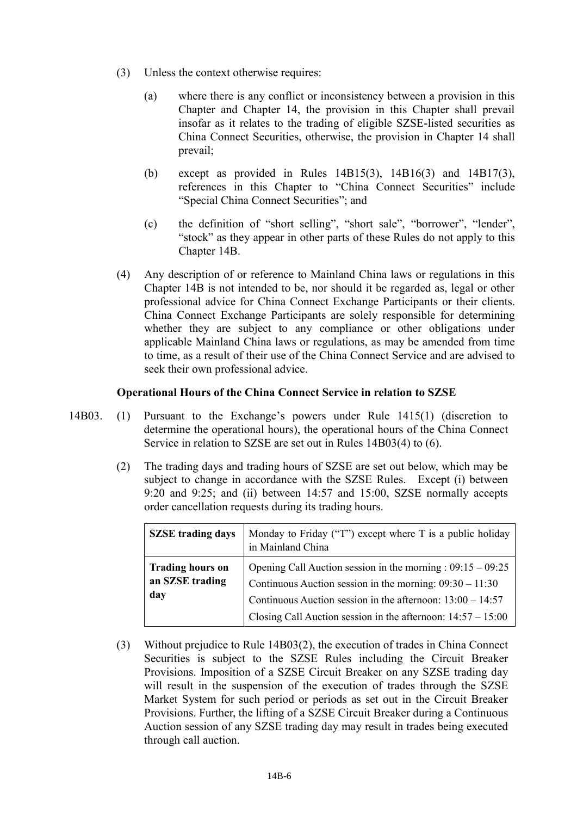- (3) Unless the context otherwise requires:
	- (a) where there is any conflict or inconsistency between a provision in this Chapter and Chapter 14, the provision in this Chapter shall prevail insofar as it relates to the trading of eligible SZSE-listed securities as China Connect Securities, otherwise, the provision in Chapter 14 shall prevail;
	- (b) except as provided in Rules 14B15(3), 14B16(3) and 14B17(3), references in this Chapter to "China Connect Securities" include "Special China Connect Securities"; and
	- (c) the definition of "short selling", "short sale", "borrower", "lender", "stock" as they appear in other parts of these Rules do not apply to this Chapter 14B.
- (4) Any description of or reference to Mainland China laws or regulations in this Chapter 14B is not intended to be, nor should it be regarded as, legal or other professional advice for China Connect Exchange Participants or their clients. China Connect Exchange Participants are solely responsible for determining whether they are subject to any compliance or other obligations under applicable Mainland China laws or regulations, as may be amended from time to time, as a result of their use of the China Connect Service and are advised to seek their own professional advice.

### **Operational Hours of the China Connect Service in relation to SZSE**

- 14B03. (1) Pursuant to the Exchange's powers under Rule 1415(1) (discretion to determine the operational hours), the operational hours of the China Connect Service in relation to SZSE are set out in Rules 14B03(4) to (6).
	- (2) The trading days and trading hours of SZSE are set out below, which may be subject to change in accordance with the SZSE Rules. Except (i) between 9:20 and 9:25; and (ii) between 14:57 and 15:00, SZSE normally accepts order cancellation requests during its trading hours.

| <b>SZSE</b> trading days                          | Monday to Friday ("T") except where $T$ is a public holiday<br>in Mainland China                                                                                                                                                                              |
|---------------------------------------------------|---------------------------------------------------------------------------------------------------------------------------------------------------------------------------------------------------------------------------------------------------------------|
| <b>Trading hours on</b><br>an SZSE trading<br>day | Opening Call Auction session in the morning : $09:15 - 09:25$<br>Continuous Auction session in the morning: $09:30 - 11:30$<br>Continuous Auction session in the afternoon: $13:00 - 14:57$<br>Closing Call Auction session in the afternoon: $14:57 - 15:00$ |

(3) Without prejudice to Rule 14B03(2), the execution of trades in China Connect Securities is subject to the SZSE Rules including the Circuit Breaker Provisions. Imposition of a SZSE Circuit Breaker on any SZSE trading day will result in the suspension of the execution of trades through the SZSE Market System for such period or periods as set out in the Circuit Breaker Provisions. Further, the lifting of a SZSE Circuit Breaker during a Continuous Auction session of any SZSE trading day may result in trades being executed through call auction.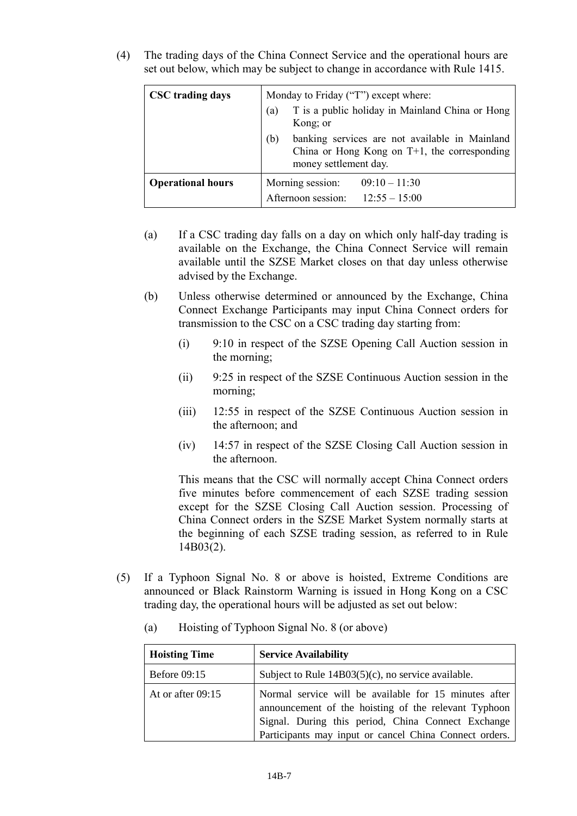(4) The trading days of the China Connect Service and the operational hours are set out below, which may be subject to change in accordance with Rule 1415.

| <b>CSC</b> trading days  | Monday to Friday ("T") except where:                                                                                              |  |
|--------------------------|-----------------------------------------------------------------------------------------------------------------------------------|--|
|                          | T is a public holiday in Mainland China or Hong<br>(a)<br>Kong; or                                                                |  |
|                          | banking services are not available in Mainland<br>(b)<br>China or Hong Kong on $T+1$ , the corresponding<br>money settlement day. |  |
| <b>Operational hours</b> | Morning session:<br>$09:10 - 11:30$<br>Afternoon session:<br>$12:55 - 15:00$                                                      |  |

- (a) If a CSC trading day falls on a day on which only half-day trading is available on the Exchange, the China Connect Service will remain available until the SZSE Market closes on that day unless otherwise advised by the Exchange.
- (b) Unless otherwise determined or announced by the Exchange, China Connect Exchange Participants may input China Connect orders for transmission to the CSC on a CSC trading day starting from:
	- (i) 9:10 in respect of the SZSE Opening Call Auction session in the morning;
	- (ii) 9:25 in respect of the SZSE Continuous Auction session in the morning;
	- (iii) 12:55 in respect of the SZSE Continuous Auction session in the afternoon; and
	- (iv) 14:57 in respect of the SZSE Closing Call Auction session in the afternoon.

This means that the CSC will normally accept China Connect orders five minutes before commencement of each SZSE trading session except for the SZSE Closing Call Auction session. Processing of China Connect orders in the SZSE Market System normally starts at the beginning of each SZSE trading session, as referred to in Rule 14B03(2).

(5) If a Typhoon Signal No. 8 or above is hoisted, Extreme Conditions are announced or Black Rainstorm Warning is issued in Hong Kong on a CSC trading day, the operational hours will be adjusted as set out below:

| <b>Hoisting Time</b> | <b>Service Availability</b>                                                                                                                                                                                                   |
|----------------------|-------------------------------------------------------------------------------------------------------------------------------------------------------------------------------------------------------------------------------|
| <b>Before 09:15</b>  | Subject to Rule 14B03(5)(c), no service available.                                                                                                                                                                            |
| At or after $09:15$  | Normal service will be available for 15 minutes after<br>announcement of the hoisting of the relevant Typhoon<br>Signal. During this period, China Connect Exchange<br>Participants may input or cancel China Connect orders. |

(a) Hoisting of Typhoon Signal No. 8 (or above)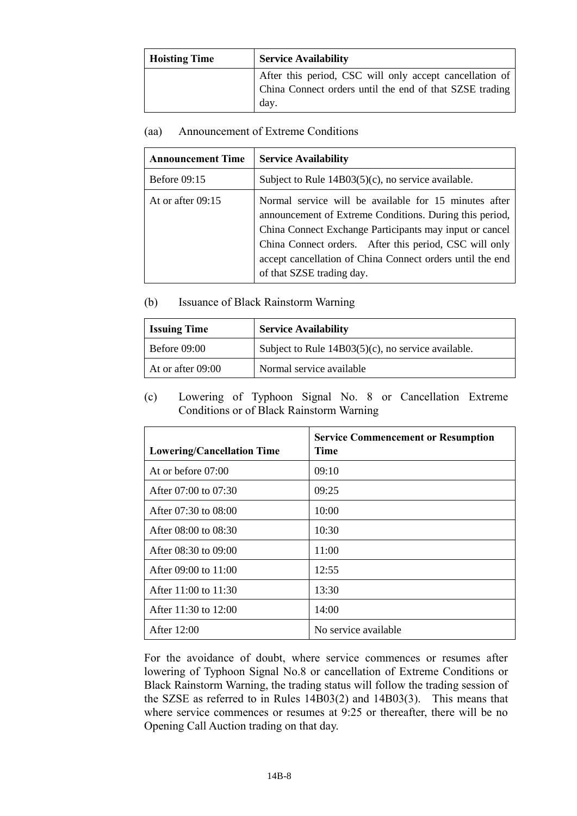| <b>Hoisting Time</b> | <b>Service Availability</b>                                                                                                |  |
|----------------------|----------------------------------------------------------------------------------------------------------------------------|--|
|                      | After this period, CSC will only accept cancellation of<br>China Connect orders until the end of that SZSE trading<br>day. |  |

### (aa) Announcement of Extreme Conditions

| <b>Announcement Time</b> | <b>Service Availability</b>                                                                                                                                                                                                                                                                                                     |
|--------------------------|---------------------------------------------------------------------------------------------------------------------------------------------------------------------------------------------------------------------------------------------------------------------------------------------------------------------------------|
| <b>Before 09:15</b>      | Subject to Rule $14B03(5)(c)$ , no service available.                                                                                                                                                                                                                                                                           |
| At or after $09:15$      | Normal service will be available for 15 minutes after<br>announcement of Extreme Conditions. During this period,<br>China Connect Exchange Participants may input or cancel<br>China Connect orders. After this period, CSC will only<br>accept cancellation of China Connect orders until the end<br>of that SZSE trading day. |

# (b) Issuance of Black Rainstorm Warning

| <b>Issuing Time</b> | <b>Service Availability</b>                           |  |
|---------------------|-------------------------------------------------------|--|
| <b>Before 09:00</b> | Subject to Rule $14B03(5)(c)$ , no service available. |  |
| At or after 09:00   | Normal service available                              |  |

(c) Lowering of Typhoon Signal No. 8 or Cancellation Extreme Conditions or of Black Rainstorm Warning

| <b>Lowering/Cancellation Time</b> | <b>Service Commencement or Resumption</b><br>Time |
|-----------------------------------|---------------------------------------------------|
| At or before $07:00$              | 09:10                                             |
| After 07:00 to 07:30              | 09:25                                             |
| After $07:30$ to $08:00$          | 10:00                                             |
| After 08:00 to 08:30              | 10:30                                             |
| After 08:30 to 09:00              | 11:00                                             |
| After 09:00 to 11:00              | 12:55                                             |
| After 11:00 to 11:30              | 13:30                                             |
| After $11:30$ to $12:00$          | 14:00                                             |
| After 12:00                       | No service available                              |

For the avoidance of doubt, where service commences or resumes after lowering of Typhoon Signal No.8 or cancellation of Extreme Conditions or Black Rainstorm Warning, the trading status will follow the trading session of the SZSE as referred to in Rules 14B03(2) and 14B03(3). This means that where service commences or resumes at 9:25 or thereafter, there will be no Opening Call Auction trading on that day.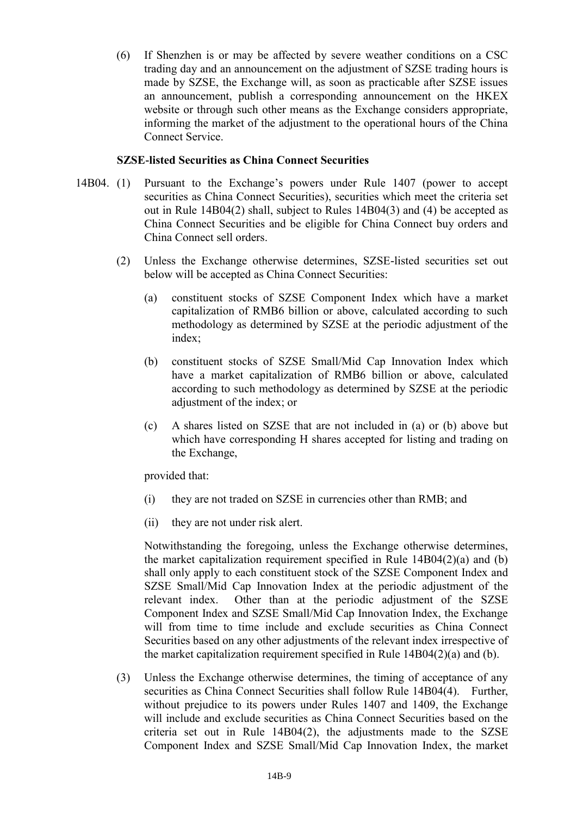(6) If Shenzhen is or may be affected by severe weather conditions on a CSC trading day and an announcement on the adjustment of SZSE trading hours is made by SZSE, the Exchange will, as soon as practicable after SZSE issues an announcement, publish a corresponding announcement on the HKEX website or through such other means as the Exchange considers appropriate, informing the market of the adjustment to the operational hours of the China Connect Service.

### **SZSE-listed Securities as China Connect Securities**

- 14B04. (1) Pursuant to the Exchange's powers under Rule 1407 (power to accept securities as China Connect Securities), securities which meet the criteria set out in Rule 14B04(2) shall, subject to Rules 14B04(3) and (4) be accepted as China Connect Securities and be eligible for China Connect buy orders and China Connect sell orders.
	- (2) Unless the Exchange otherwise determines, SZSE-listed securities set out below will be accepted as China Connect Securities:
		- (a) constituent stocks of SZSE Component Index which have a market capitalization of RMB6 billion or above, calculated according to such methodology as determined by SZSE at the periodic adjustment of the index;
		- (b) constituent stocks of SZSE Small/Mid Cap Innovation Index which have a market capitalization of RMB6 billion or above, calculated according to such methodology as determined by SZSE at the periodic adjustment of the index; or
		- (c) A shares listed on SZSE that are not included in (a) or (b) above but which have corresponding H shares accepted for listing and trading on the Exchange,

provided that:

- (i) they are not traded on SZSE in currencies other than RMB; and
- (ii) they are not under risk alert.

Notwithstanding the foregoing, unless the Exchange otherwise determines, the market capitalization requirement specified in Rule 14B04(2)(a) and (b) shall only apply to each constituent stock of the SZSE Component Index and SZSE Small/Mid Cap Innovation Index at the periodic adjustment of the relevant index. Other than at the periodic adjustment of the SZSE Component Index and SZSE Small/Mid Cap Innovation Index, the Exchange will from time to time include and exclude securities as China Connect Securities based on any other adjustments of the relevant index irrespective of the market capitalization requirement specified in Rule 14B04(2)(a) and (b).

(3) Unless the Exchange otherwise determines, the timing of acceptance of any securities as China Connect Securities shall follow Rule 14B04(4). Further, without prejudice to its powers under Rules 1407 and 1409, the Exchange will include and exclude securities as China Connect Securities based on the criteria set out in Rule 14B04(2), the adjustments made to the SZSE Component Index and SZSE Small/Mid Cap Innovation Index, the market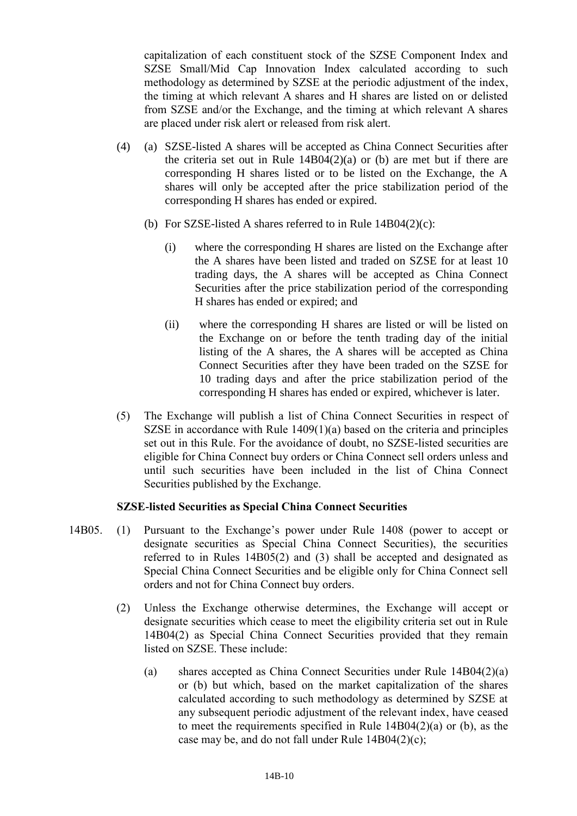capitalization of each constituent stock of the SZSE Component Index and SZSE Small/Mid Cap Innovation Index calculated according to such methodology as determined by SZSE at the periodic adjustment of the index, the timing at which relevant A shares and H shares are listed on or delisted from SZSE and/or the Exchange, and the timing at which relevant A shares are placed under risk alert or released from risk alert.

- (4) (a) SZSE-listed A shares will be accepted as China Connect Securities after the criteria set out in Rule 14B04(2)(a) or (b) are met but if there are corresponding H shares listed or to be listed on the Exchange, the A shares will only be accepted after the price stabilization period of the corresponding H shares has ended or expired.
	- (b) For SZSE-listed A shares referred to in Rule 14B04(2)(c):
		- (i) where the corresponding H shares are listed on the Exchange after the A shares have been listed and traded on SZSE for at least 10 trading days, the A shares will be accepted as China Connect Securities after the price stabilization period of the corresponding H shares has ended or expired; and
		- (ii) where the corresponding H shares are listed or will be listed on the Exchange on or before the tenth trading day of the initial listing of the A shares, the A shares will be accepted as China Connect Securities after they have been traded on the SZSE for 10 trading days and after the price stabilization period of the corresponding H shares has ended or expired, whichever is later.
- (5) The Exchange will publish a list of China Connect Securities in respect of SZSE in accordance with Rule 1409(1)(a) based on the criteria and principles set out in this Rule. For the avoidance of doubt, no SZSE-listed securities are eligible for China Connect buy orders or China Connect sell orders unless and until such securities have been included in the list of China Connect Securities published by the Exchange.

# **SZSE-listed Securities as Special China Connect Securities**

- 14B05. (1) Pursuant to the Exchange's power under Rule 1408 (power to accept or designate securities as Special China Connect Securities), the securities referred to in Rules 14B05(2) and (3) shall be accepted and designated as Special China Connect Securities and be eligible only for China Connect sell orders and not for China Connect buy orders.
	- (2) Unless the Exchange otherwise determines, the Exchange will accept or designate securities which cease to meet the eligibility criteria set out in Rule 14B04(2) as Special China Connect Securities provided that they remain listed on SZSE. These include:
		- (a) shares accepted as China Connect Securities under Rule 14B04(2)(a) or (b) but which, based on the market capitalization of the shares calculated according to such methodology as determined by SZSE at any subsequent periodic adjustment of the relevant index, have ceased to meet the requirements specified in Rule 14B04(2)(a) or (b), as the case may be, and do not fall under Rule 14B04(2)(c);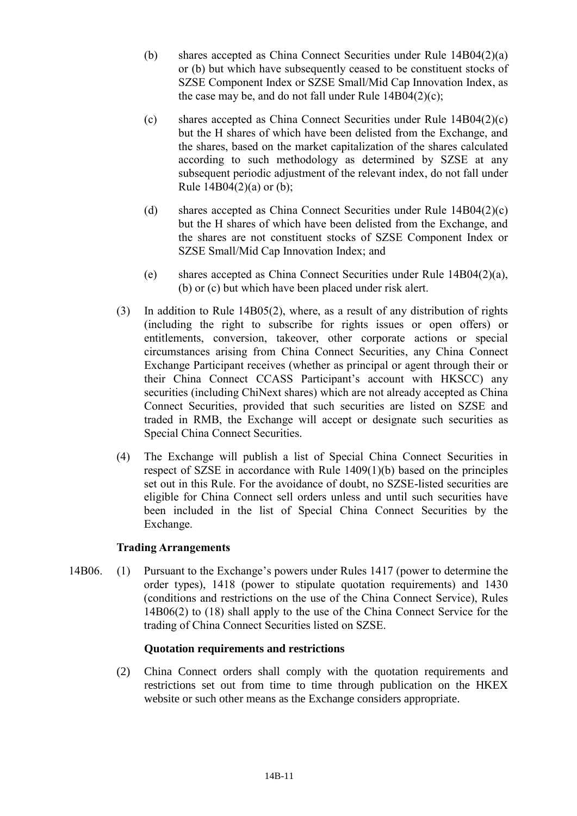- (b) shares accepted as China Connect Securities under Rule 14B04(2)(a) or (b) but which have subsequently ceased to be constituent stocks of SZSE Component Index or SZSE Small/Mid Cap Innovation Index, as the case may be, and do not fall under Rule  $14B04(2)(c)$ ;
- (c) shares accepted as China Connect Securities under Rule  $14B04(2)(c)$ but the H shares of which have been delisted from the Exchange, and the shares, based on the market capitalization of the shares calculated according to such methodology as determined by SZSE at any subsequent periodic adjustment of the relevant index, do not fall under Rule  $14B04(2)(a)$  or (b);
- (d) shares accepted as China Connect Securities under Rule 14B04(2)(c) but the H shares of which have been delisted from the Exchange, and the shares are not constituent stocks of SZSE Component Index or SZSE Small/Mid Cap Innovation Index; and
- (e) shares accepted as China Connect Securities under Rule 14B04(2)(a), (b) or (c) but which have been placed under risk alert.
- (3) In addition to Rule 14B05(2), where, as a result of any distribution of rights (including the right to subscribe for rights issues or open offers) or entitlements, conversion, takeover, other corporate actions or special circumstances arising from China Connect Securities, any China Connect Exchange Participant receives (whether as principal or agent through their or their China Connect CCASS Participant's account with HKSCC) any securities (including ChiNext shares) which are not already accepted as China Connect Securities, provided that such securities are listed on SZSE and traded in RMB, the Exchange will accept or designate such securities as Special China Connect Securities.
- (4) The Exchange will publish a list of Special China Connect Securities in respect of SZSE in accordance with Rule 1409(1)(b) based on the principles set out in this Rule. For the avoidance of doubt, no SZSE-listed securities are eligible for China Connect sell orders unless and until such securities have been included in the list of Special China Connect Securities by the Exchange.

#### **Trading Arrangements**

14B06. (1) Pursuant to the Exchange's powers under Rules 1417 (power to determine the order types), 1418 (power to stipulate quotation requirements) and 1430 (conditions and restrictions on the use of the China Connect Service), Rules 14B06(2) to (18) shall apply to the use of the China Connect Service for the trading of China Connect Securities listed on SZSE.

# **Quotation requirements and restrictions**

(2) China Connect orders shall comply with the quotation requirements and restrictions set out from time to time through publication on the HKEX website or such other means as the Exchange considers appropriate.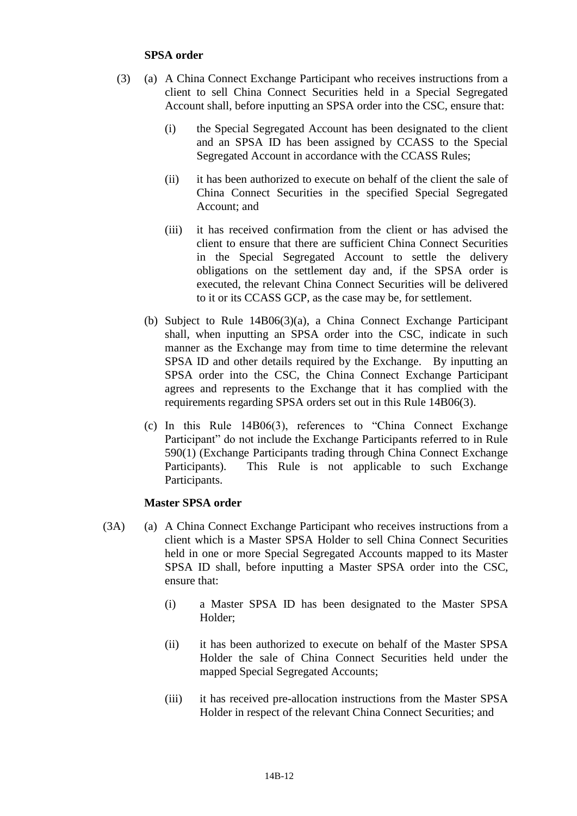### **SPSA order**

- (3) (a) A China Connect Exchange Participant who receives instructions from a client to sell China Connect Securities held in a Special Segregated Account shall, before inputting an SPSA order into the CSC, ensure that:
	- (i) the Special Segregated Account has been designated to the client and an SPSA ID has been assigned by CCASS to the Special Segregated Account in accordance with the CCASS Rules;
	- (ii) it has been authorized to execute on behalf of the client the sale of China Connect Securities in the specified Special Segregated Account; and
	- (iii) it has received confirmation from the client or has advised the client to ensure that there are sufficient China Connect Securities in the Special Segregated Account to settle the delivery obligations on the settlement day and, if the SPSA order is executed, the relevant China Connect Securities will be delivered to it or its CCASS GCP, as the case may be, for settlement.
	- (b) Subject to Rule 14B06(3)(a), a China Connect Exchange Participant shall, when inputting an SPSA order into the CSC, indicate in such manner as the Exchange may from time to time determine the relevant SPSA ID and other details required by the Exchange. By inputting an SPSA order into the CSC, the China Connect Exchange Participant agrees and represents to the Exchange that it has complied with the requirements regarding SPSA orders set out in this Rule 14B06(3).
	- (c) In this Rule 14B06(3), references to "China Connect Exchange Participant" do not include the Exchange Participants referred to in Rule 590(1) (Exchange Participants trading through China Connect Exchange Participants). This Rule is not applicable to such Exchange Participants.

#### **Master SPSA order**

- (3A) (a) A China Connect Exchange Participant who receives instructions from a client which is a Master SPSA Holder to sell China Connect Securities held in one or more Special Segregated Accounts mapped to its Master SPSA ID shall, before inputting a Master SPSA order into the CSC, ensure that:
	- (i) a Master SPSA ID has been designated to the Master SPSA Holder;
	- (ii) it has been authorized to execute on behalf of the Master SPSA Holder the sale of China Connect Securities held under the mapped Special Segregated Accounts;
	- (iii) it has received pre-allocation instructions from the Master SPSA Holder in respect of the relevant China Connect Securities; and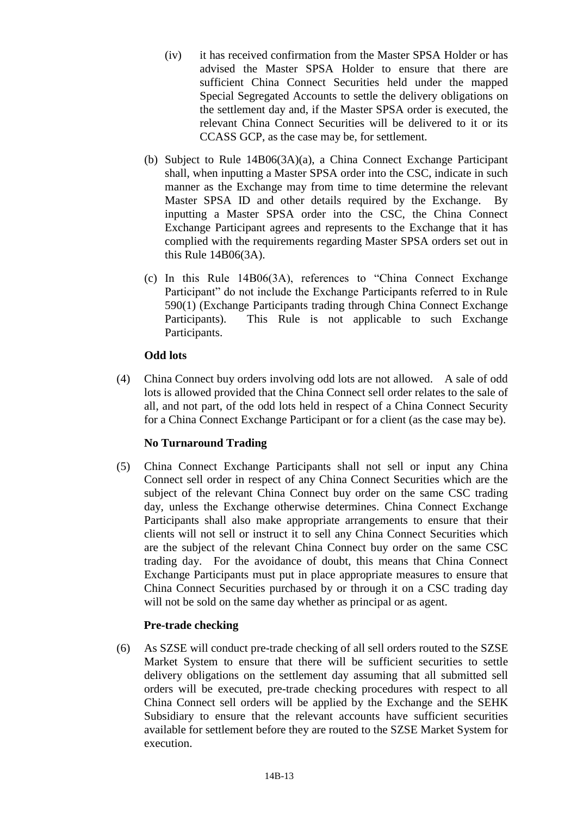- (iv) it has received confirmation from the Master SPSA Holder or has advised the Master SPSA Holder to ensure that there are sufficient China Connect Securities held under the mapped Special Segregated Accounts to settle the delivery obligations on the settlement day and, if the Master SPSA order is executed, the relevant China Connect Securities will be delivered to it or its CCASS GCP, as the case may be, for settlement.
- (b) Subject to Rule 14B06(3A)(a), a China Connect Exchange Participant shall, when inputting a Master SPSA order into the CSC, indicate in such manner as the Exchange may from time to time determine the relevant Master SPSA ID and other details required by the Exchange. By inputting a Master SPSA order into the CSC, the China Connect Exchange Participant agrees and represents to the Exchange that it has complied with the requirements regarding Master SPSA orders set out in this Rule 14B06(3A).
- (c) In this Rule 14B06(3A), references to "China Connect Exchange Participant" do not include the Exchange Participants referred to in Rule 590(1) (Exchange Participants trading through China Connect Exchange Participants). This Rule is not applicable to such Exchange Participants.

# **Odd lots**

(4) China Connect buy orders involving odd lots are not allowed. A sale of odd lots is allowed provided that the China Connect sell order relates to the sale of all, and not part, of the odd lots held in respect of a China Connect Security for a China Connect Exchange Participant or for a client (as the case may be).

# **No Turnaround Trading**

(5) China Connect Exchange Participants shall not sell or input any China Connect sell order in respect of any China Connect Securities which are the subject of the relevant China Connect buy order on the same CSC trading day, unless the Exchange otherwise determines. China Connect Exchange Participants shall also make appropriate arrangements to ensure that their clients will not sell or instruct it to sell any China Connect Securities which are the subject of the relevant China Connect buy order on the same CSC trading day. For the avoidance of doubt, this means that China Connect Exchange Participants must put in place appropriate measures to ensure that China Connect Securities purchased by or through it on a CSC trading day will not be sold on the same day whether as principal or as agent.

# **Pre-trade checking**

(6) As SZSE will conduct pre-trade checking of all sell orders routed to the SZSE Market System to ensure that there will be sufficient securities to settle delivery obligations on the settlement day assuming that all submitted sell orders will be executed, pre-trade checking procedures with respect to all China Connect sell orders will be applied by the Exchange and the SEHK Subsidiary to ensure that the relevant accounts have sufficient securities available for settlement before they are routed to the SZSE Market System for execution.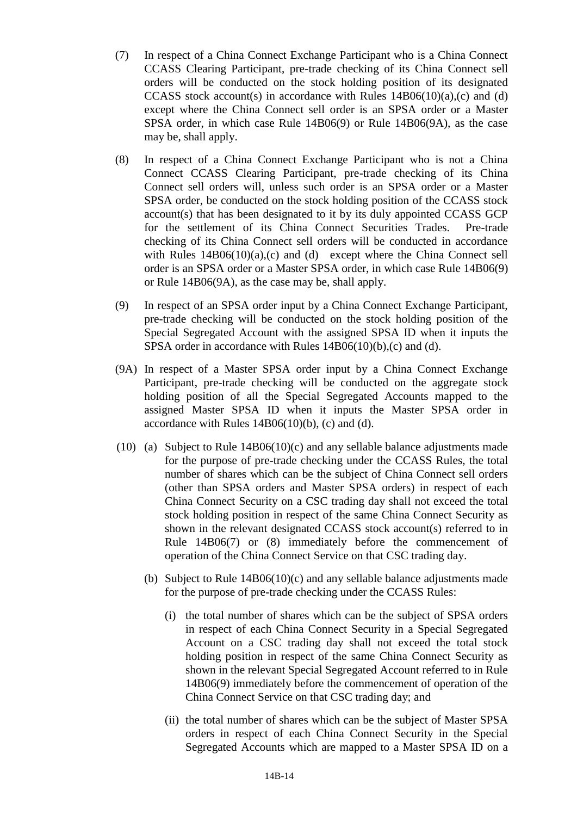- (7) In respect of a China Connect Exchange Participant who is a China Connect CCASS Clearing Participant, pre-trade checking of its China Connect sell orders will be conducted on the stock holding position of its designated CCASS stock account(s) in accordance with Rules  $14B06(10)(a)$ ,(c) and (d) except where the China Connect sell order is an SPSA order or a Master SPSA order, in which case Rule 14B06(9) or Rule 14B06(9A), as the case may be, shall apply.
- (8) In respect of a China Connect Exchange Participant who is not a China Connect CCASS Clearing Participant, pre-trade checking of its China Connect sell orders will, unless such order is an SPSA order or a Master SPSA order, be conducted on the stock holding position of the CCASS stock account(s) that has been designated to it by its duly appointed CCASS GCP for the settlement of its China Connect Securities Trades. Pre-trade checking of its China Connect sell orders will be conducted in accordance with Rules  $14B06(10)(a)$ , (c) and (d) except where the China Connect sell order is an SPSA order or a Master SPSA order, in which case Rule 14B06(9) or Rule 14B06(9A), as the case may be, shall apply.
- (9) In respect of an SPSA order input by a China Connect Exchange Participant, pre-trade checking will be conducted on the stock holding position of the Special Segregated Account with the assigned SPSA ID when it inputs the SPSA order in accordance with Rules 14B06(10)(b),(c) and (d).
- (9A) In respect of a Master SPSA order input by a China Connect Exchange Participant, pre-trade checking will be conducted on the aggregate stock holding position of all the Special Segregated Accounts mapped to the assigned Master SPSA ID when it inputs the Master SPSA order in accordance with Rules  $14B06(10)(b)$ , (c) and (d).
- (10) (a) Subject to Rule 14B06(10)(c) and any sellable balance adjustments made for the purpose of pre-trade checking under the CCASS Rules, the total number of shares which can be the subject of China Connect sell orders (other than SPSA orders and Master SPSA orders) in respect of each China Connect Security on a CSC trading day shall not exceed the total stock holding position in respect of the same China Connect Security as shown in the relevant designated CCASS stock account(s) referred to in Rule 14B06(7) or (8) immediately before the commencement of operation of the China Connect Service on that CSC trading day.
	- (b) Subject to Rule 14B06(10)(c) and any sellable balance adjustments made for the purpose of pre-trade checking under the CCASS Rules:
		- (i) the total number of shares which can be the subject of SPSA orders in respect of each China Connect Security in a Special Segregated Account on a CSC trading day shall not exceed the total stock holding position in respect of the same China Connect Security as shown in the relevant Special Segregated Account referred to in Rule 14B06(9) immediately before the commencement of operation of the China Connect Service on that CSC trading day; and
		- (ii) the total number of shares which can be the subject of Master SPSA orders in respect of each China Connect Security in the Special Segregated Accounts which are mapped to a Master SPSA ID on a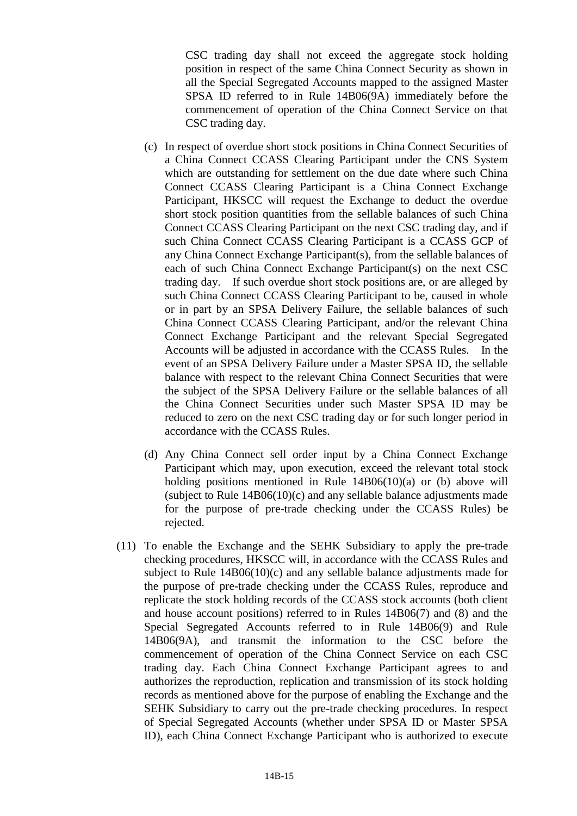CSC trading day shall not exceed the aggregate stock holding position in respect of the same China Connect Security as shown in all the Special Segregated Accounts mapped to the assigned Master SPSA ID referred to in Rule 14B06(9A) immediately before the commencement of operation of the China Connect Service on that CSC trading day.

- (c) In respect of overdue short stock positions in China Connect Securities of a China Connect CCASS Clearing Participant under the CNS System which are outstanding for settlement on the due date where such China Connect CCASS Clearing Participant is a China Connect Exchange Participant, HKSCC will request the Exchange to deduct the overdue short stock position quantities from the sellable balances of such China Connect CCASS Clearing Participant on the next CSC trading day, and if such China Connect CCASS Clearing Participant is a CCASS GCP of any China Connect Exchange Participant(s), from the sellable balances of each of such China Connect Exchange Participant(s) on the next CSC trading day. If such overdue short stock positions are, or are alleged by such China Connect CCASS Clearing Participant to be, caused in whole or in part by an SPSA Delivery Failure, the sellable balances of such China Connect CCASS Clearing Participant, and/or the relevant China Connect Exchange Participant and the relevant Special Segregated Accounts will be adjusted in accordance with the CCASS Rules. In the event of an SPSA Delivery Failure under a Master SPSA ID, the sellable balance with respect to the relevant China Connect Securities that were the subject of the SPSA Delivery Failure or the sellable balances of all the China Connect Securities under such Master SPSA ID may be reduced to zero on the next CSC trading day or for such longer period in accordance with the CCASS Rules.
- (d) Any China Connect sell order input by a China Connect Exchange Participant which may, upon execution, exceed the relevant total stock holding positions mentioned in Rule 14B06(10)(a) or (b) above will (subject to Rule 14B06(10)(c) and any sellable balance adjustments made for the purpose of pre-trade checking under the CCASS Rules) be rejected.
- (11) To enable the Exchange and the SEHK Subsidiary to apply the pre-trade checking procedures, HKSCC will, in accordance with the CCASS Rules and subject to Rule  $14B06(10)(c)$  and any sellable balance adjustments made for the purpose of pre-trade checking under the CCASS Rules, reproduce and replicate the stock holding records of the CCASS stock accounts (both client and house account positions) referred to in Rules 14B06(7) and (8) and the Special Segregated Accounts referred to in Rule 14B06(9) and Rule 14B06(9A), and transmit the information to the CSC before the commencement of operation of the China Connect Service on each CSC trading day. Each China Connect Exchange Participant agrees to and authorizes the reproduction, replication and transmission of its stock holding records as mentioned above for the purpose of enabling the Exchange and the SEHK Subsidiary to carry out the pre-trade checking procedures. In respect of Special Segregated Accounts (whether under SPSA ID or Master SPSA ID), each China Connect Exchange Participant who is authorized to execute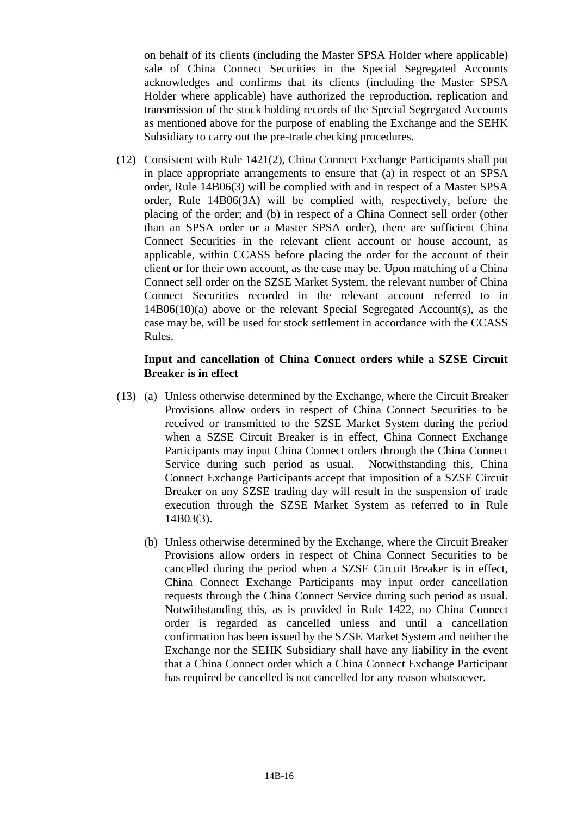on behalf of its clients (including the Master SPSA Holder where applicable) sale of China Connect Securities in the Special Segregated Accounts acknowledges and confirms that its clients (including the Master SPSA Holder where applicable) have authorized the reproduction, replication and transmission of the stock holding records of the Special Segregated Accounts as mentioned above for the purpose of enabling the Exchange and the SEHK Subsidiary to carry out the pre-trade checking procedures.

(12) Consistent with Rule 1421(2), China Connect Exchange Participants shall put in place appropriate arrangements to ensure that (a) in respect of an SPSA order, Rule 14B06(3) will be complied with and in respect of a Master SPSA order, Rule 14B06(3A) will be complied with, respectively, before the placing of the order; and (b) in respect of a China Connect sell order (other than an SPSA order or a Master SPSA order), there are sufficient China Connect Securities in the relevant client account or house account, as applicable, within CCASS before placing the order for the account of their client or for their own account, as the case may be. Upon matching of a China Connect sell order on the SZSE Market System, the relevant number of China Connect Securities recorded in the relevant account referred to in 14B06(10)(a) above or the relevant Special Segregated Account(s), as the case may be, will be used for stock settlement in accordance with the CCASS Rules.

### **Input and cancellation of China Connect orders while a SZSE Circuit Breaker is in effect**

- (13) (a) Unless otherwise determined by the Exchange, where the Circuit Breaker Provisions allow orders in respect of China Connect Securities to be received or transmitted to the SZSE Market System during the period when a SZSE Circuit Breaker is in effect, China Connect Exchange Participants may input China Connect orders through the China Connect Service during such period as usual. Notwithstanding this, China Connect Exchange Participants accept that imposition of a SZSE Circuit Breaker on any SZSE trading day will result in the suspension of trade execution through the SZSE Market System as referred to in Rule 14B03(3).
	- (b) Unless otherwise determined by the Exchange, where the Circuit Breaker Provisions allow orders in respect of China Connect Securities to be cancelled during the period when a SZSE Circuit Breaker is in effect, China Connect Exchange Participants may input order cancellation requests through the China Connect Service during such period as usual. Notwithstanding this, as is provided in Rule 1422, no China Connect order is regarded as cancelled unless and until a cancellation confirmation has been issued by the SZSE Market System and neither the Exchange nor the SEHK Subsidiary shall have any liability in the event that a China Connect order which a China Connect Exchange Participant has required be cancelled is not cancelled for any reason whatsoever.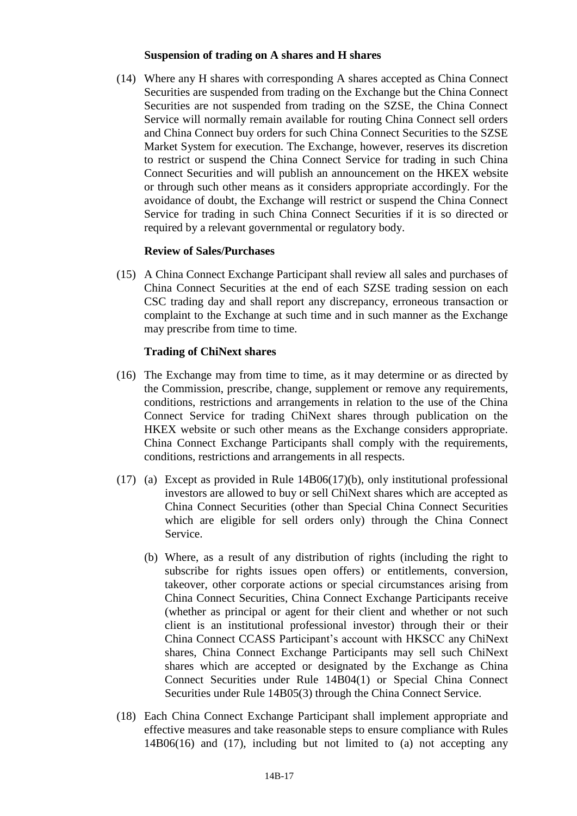#### **Suspension of trading on A shares and H shares**

(14) Where any H shares with corresponding A shares accepted as China Connect Securities are suspended from trading on the Exchange but the China Connect Securities are not suspended from trading on the SZSE, the China Connect Service will normally remain available for routing China Connect sell orders and China Connect buy orders for such China Connect Securities to the SZSE Market System for execution. The Exchange, however, reserves its discretion to restrict or suspend the China Connect Service for trading in such China Connect Securities and will publish an announcement on the HKEX website or through such other means as it considers appropriate accordingly. For the avoidance of doubt, the Exchange will restrict or suspend the China Connect Service for trading in such China Connect Securities if it is so directed or required by a relevant governmental or regulatory body.

#### **Review of Sales/Purchases**

(15) A China Connect Exchange Participant shall review all sales and purchases of China Connect Securities at the end of each SZSE trading session on each CSC trading day and shall report any discrepancy, erroneous transaction or complaint to the Exchange at such time and in such manner as the Exchange may prescribe from time to time.

#### **Trading of ChiNext shares**

- (16) The Exchange may from time to time, as it may determine or as directed by the Commission, prescribe, change, supplement or remove any requirements, conditions, restrictions and arrangements in relation to the use of the China Connect Service for trading ChiNext shares through publication on the HKEX website or such other means as the Exchange considers appropriate. China Connect Exchange Participants shall comply with the requirements, conditions, restrictions and arrangements in all respects.
- (17) (a) Except as provided in Rule 14B06(17)(b), only institutional professional investors are allowed to buy or sell ChiNext shares which are accepted as China Connect Securities (other than Special China Connect Securities which are eligible for sell orders only) through the China Connect Service.
	- (b) Where, as a result of any distribution of rights (including the right to subscribe for rights issues open offers) or entitlements, conversion, takeover, other corporate actions or special circumstances arising from China Connect Securities, China Connect Exchange Participants receive (whether as principal or agent for their client and whether or not such client is an institutional professional investor) through their or their China Connect CCASS Participant's account with HKSCC any ChiNext shares, China Connect Exchange Participants may sell such ChiNext shares which are accepted or designated by the Exchange as China Connect Securities under Rule 14B04(1) or Special China Connect Securities under Rule 14B05(3) through the China Connect Service.
- (18) Each China Connect Exchange Participant shall implement appropriate and effective measures and take reasonable steps to ensure compliance with Rules 14B06(16) and (17), including but not limited to (a) not accepting any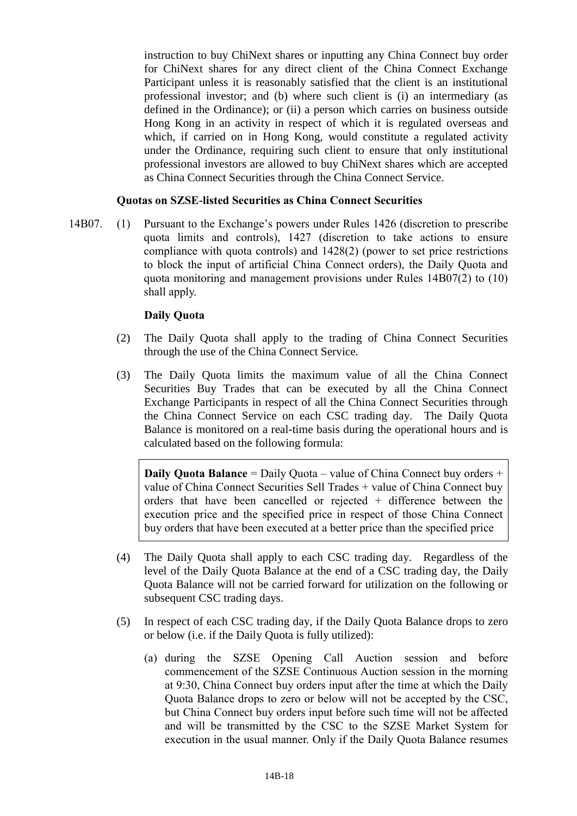instruction to buy ChiNext shares or inputting any China Connect buy order for ChiNext shares for any direct client of the China Connect Exchange Participant unless it is reasonably satisfied that the client is an institutional professional investor; and (b) where such client is (i) an intermediary (as defined in the Ordinance); or (ii) a person which carries on business outside Hong Kong in an activity in respect of which it is regulated overseas and which, if carried on in Hong Kong, would constitute a regulated activity under the Ordinance, requiring such client to ensure that only institutional professional investors are allowed to buy ChiNext shares which are accepted as China Connect Securities through the China Connect Service.

### **Quotas on SZSE-listed Securities as China Connect Securities**

14B07. (1) Pursuant to the Exchange's powers under Rules 1426 (discretion to prescribe quota limits and controls), 1427 (discretion to take actions to ensure compliance with quota controls) and 1428(2) (power to set price restrictions to block the input of artificial China Connect orders), the Daily Quota and quota monitoring and management provisions under Rules 14B07(2) to (10) shall apply.

### **Daily Quota**

- (2) The Daily Quota shall apply to the trading of China Connect Securities through the use of the China Connect Service.
- (3) The Daily Quota limits the maximum value of all the China Connect Securities Buy Trades that can be executed by all the China Connect Exchange Participants in respect of all the China Connect Securities through the China Connect Service on each CSC trading day. The Daily Quota Balance is monitored on a real-time basis during the operational hours and is calculated based on the following formula:

**Daily Quota Balance** = Daily Quota – value of China Connect buy orders + value of China Connect Securities Sell Trades + value of China Connect buy orders that have been cancelled or rejected + difference between the execution price and the specified price in respect of those China Connect buy orders that have been executed at a better price than the specified price

- (4) The Daily Quota shall apply to each CSC trading day. Regardless of the level of the Daily Quota Balance at the end of a CSC trading day, the Daily Quota Balance will not be carried forward for utilization on the following or subsequent CSC trading days.
- (5) In respect of each CSC trading day, if the Daily Quota Balance drops to zero or below (i.e. if the Daily Quota is fully utilized):
	- (a) during the SZSE Opening Call Auction session and before commencement of the SZSE Continuous Auction session in the morning at 9:30, China Connect buy orders input after the time at which the Daily Quota Balance drops to zero or below will not be accepted by the CSC, but China Connect buy orders input before such time will not be affected and will be transmitted by the CSC to the SZSE Market System for execution in the usual manner. Only if the Daily Quota Balance resumes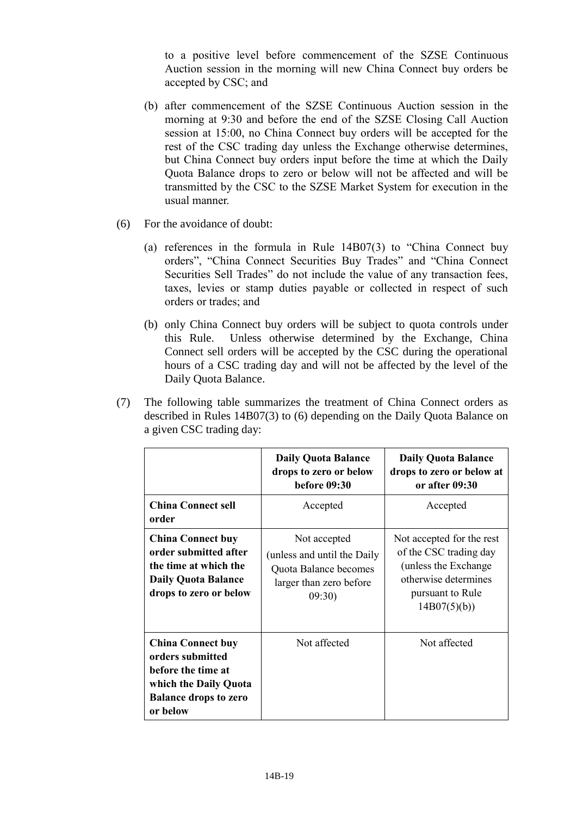to a positive level before commencement of the SZSE Continuous Auction session in the morning will new China Connect buy orders be accepted by CSC; and

- (b) after commencement of the SZSE Continuous Auction session in the morning at 9:30 and before the end of the SZSE Closing Call Auction session at 15:00, no China Connect buy orders will be accepted for the rest of the CSC trading day unless the Exchange otherwise determines, but China Connect buy orders input before the time at which the Daily Quota Balance drops to zero or below will not be affected and will be transmitted by the CSC to the SZSE Market System for execution in the usual manner.
- (6) For the avoidance of doubt:
	- (a) references in the formula in Rule 14B07(3) to "China Connect buy orders", "China Connect Securities Buy Trades" and "China Connect Securities Sell Trades" do not include the value of any transaction fees, taxes, levies or stamp duties payable or collected in respect of such orders or trades; and
	- (b) only China Connect buy orders will be subject to quota controls under this Rule. Unless otherwise determined by the Exchange, China Connect sell orders will be accepted by the CSC during the operational hours of a CSC trading day and will not be affected by the level of the Daily Quota Balance.
- (7) The following table summarizes the treatment of China Connect orders as described in Rules 14B07(3) to (6) depending on the Daily Quota Balance on a given CSC trading day:

|                                                                                                                                         | <b>Daily Quota Balance</b><br>drops to zero or below<br><b>before 09:30</b>                              | <b>Daily Quota Balance</b><br>drops to zero or below at<br>or after 09:30                                                               |
|-----------------------------------------------------------------------------------------------------------------------------------------|----------------------------------------------------------------------------------------------------------|-----------------------------------------------------------------------------------------------------------------------------------------|
| <b>China Connect sell</b><br>order                                                                                                      | Accepted                                                                                                 | Accepted                                                                                                                                |
| <b>China Connect buy</b><br>order submitted after<br>the time at which the<br><b>Daily Quota Balance</b><br>drops to zero or below      | Not accepted<br>(unless and until the Daily<br>Quota Balance becomes<br>larger than zero before<br>09:30 | Not accepted for the rest<br>of the CSC trading day<br>(unless the Exchange)<br>otherwise determines<br>pursuant to Rule<br>14B07(5)(b) |
| <b>China Connect buy</b><br>orders submitted<br>before the time at<br>which the Daily Quota<br><b>Balance drops to zero</b><br>or below | Not affected                                                                                             | Not affected                                                                                                                            |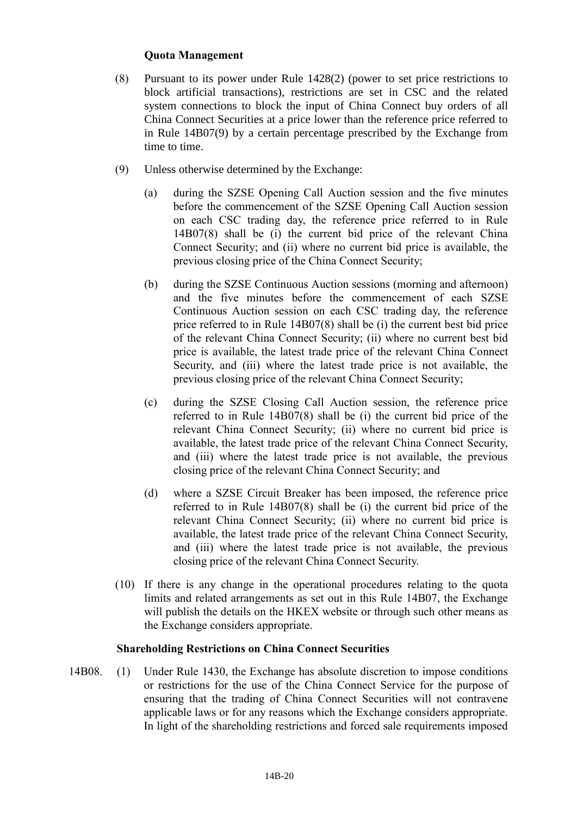# **Quota Management**

- (8) Pursuant to its power under Rule 1428(2) (power to set price restrictions to block artificial transactions), restrictions are set in CSC and the related system connections to block the input of China Connect buy orders of all China Connect Securities at a price lower than the reference price referred to in Rule 14B07(9) by a certain percentage prescribed by the Exchange from time to time.
- (9) Unless otherwise determined by the Exchange:
	- (a) during the SZSE Opening Call Auction session and the five minutes before the commencement of the SZSE Opening Call Auction session on each CSC trading day, the reference price referred to in Rule 14B07(8) shall be (i) the current bid price of the relevant China Connect Security; and (ii) where no current bid price is available, the previous closing price of the China Connect Security;
	- (b) during the SZSE Continuous Auction sessions (morning and afternoon) and the five minutes before the commencement of each SZSE Continuous Auction session on each CSC trading day, the reference price referred to in Rule 14B07(8) shall be (i) the current best bid price of the relevant China Connect Security; (ii) where no current best bid price is available, the latest trade price of the relevant China Connect Security, and (iii) where the latest trade price is not available, the previous closing price of the relevant China Connect Security;
	- (c) during the SZSE Closing Call Auction session, the reference price referred to in Rule 14B07(8) shall be (i) the current bid price of the relevant China Connect Security; (ii) where no current bid price is available, the latest trade price of the relevant China Connect Security, and (iii) where the latest trade price is not available, the previous closing price of the relevant China Connect Security; and
	- (d) where a SZSE Circuit Breaker has been imposed, the reference price referred to in Rule 14B07(8) shall be (i) the current bid price of the relevant China Connect Security; (ii) where no current bid price is available, the latest trade price of the relevant China Connect Security, and (iii) where the latest trade price is not available, the previous closing price of the relevant China Connect Security.
- (10) If there is any change in the operational procedures relating to the quota limits and related arrangements as set out in this Rule 14B07, the Exchange will publish the details on the HKEX website or through such other means as the Exchange considers appropriate.

#### **Shareholding Restrictions on China Connect Securities**

14B08. (1) Under Rule 1430, the Exchange has absolute discretion to impose conditions or restrictions for the use of the China Connect Service for the purpose of ensuring that the trading of China Connect Securities will not contravene applicable laws or for any reasons which the Exchange considers appropriate. In light of the shareholding restrictions and forced sale requirements imposed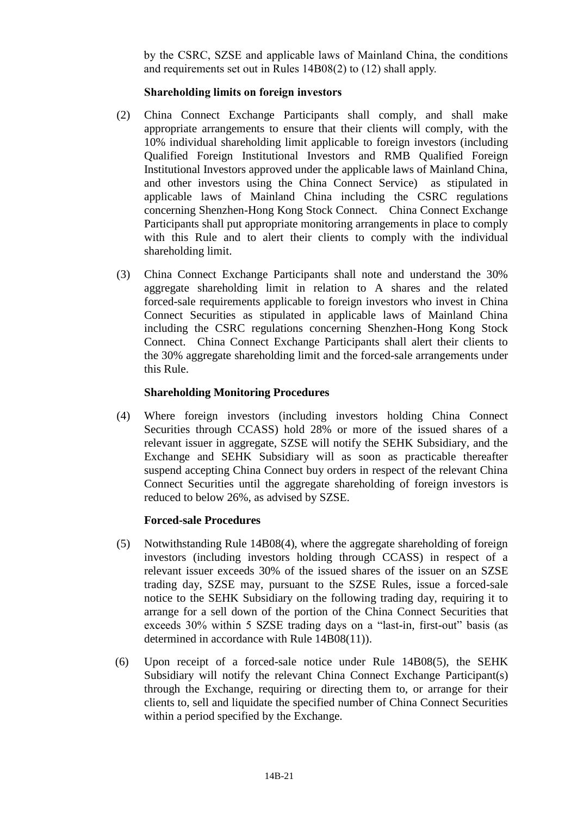by the CSRC, SZSE and applicable laws of Mainland China, the conditions and requirements set out in Rules 14B08(2) to (12) shall apply.

# **Shareholding limits on foreign investors**

- (2) China Connect Exchange Participants shall comply, and shall make appropriate arrangements to ensure that their clients will comply, with the 10% individual shareholding limit applicable to foreign investors (including Qualified Foreign Institutional Investors and RMB Qualified Foreign Institutional Investors approved under the applicable laws of Mainland China, and other investors using the China Connect Service) as stipulated in applicable laws of Mainland China including the CSRC regulations concerning Shenzhen-Hong Kong Stock Connect. China Connect Exchange Participants shall put appropriate monitoring arrangements in place to comply with this Rule and to alert their clients to comply with the individual shareholding limit.
- (3) China Connect Exchange Participants shall note and understand the 30% aggregate shareholding limit in relation to A shares and the related forced-sale requirements applicable to foreign investors who invest in China Connect Securities as stipulated in applicable laws of Mainland China including the CSRC regulations concerning Shenzhen-Hong Kong Stock Connect. China Connect Exchange Participants shall alert their clients to the 30% aggregate shareholding limit and the forced-sale arrangements under this Rule.

### **Shareholding Monitoring Procedures**

(4) Where foreign investors (including investors holding China Connect Securities through CCASS) hold 28% or more of the issued shares of a relevant issuer in aggregate, SZSE will notify the SEHK Subsidiary, and the Exchange and SEHK Subsidiary will as soon as practicable thereafter suspend accepting China Connect buy orders in respect of the relevant China Connect Securities until the aggregate shareholding of foreign investors is reduced to below 26%, as advised by SZSE.

# **Forced-sale Procedures**

- (5) Notwithstanding Rule 14B08(4), where the aggregate shareholding of foreign investors (including investors holding through CCASS) in respect of a relevant issuer exceeds 30% of the issued shares of the issuer on an SZSE trading day, SZSE may, pursuant to the SZSE Rules, issue a forced-sale notice to the SEHK Subsidiary on the following trading day, requiring it to arrange for a sell down of the portion of the China Connect Securities that exceeds 30% within 5 SZSE trading days on a "last-in, first-out" basis (as determined in accordance with Rule 14B08(11)).
- (6) Upon receipt of a forced-sale notice under Rule 14B08(5), the SEHK Subsidiary will notify the relevant China Connect Exchange Participant(s) through the Exchange, requiring or directing them to, or arrange for their clients to, sell and liquidate the specified number of China Connect Securities within a period specified by the Exchange.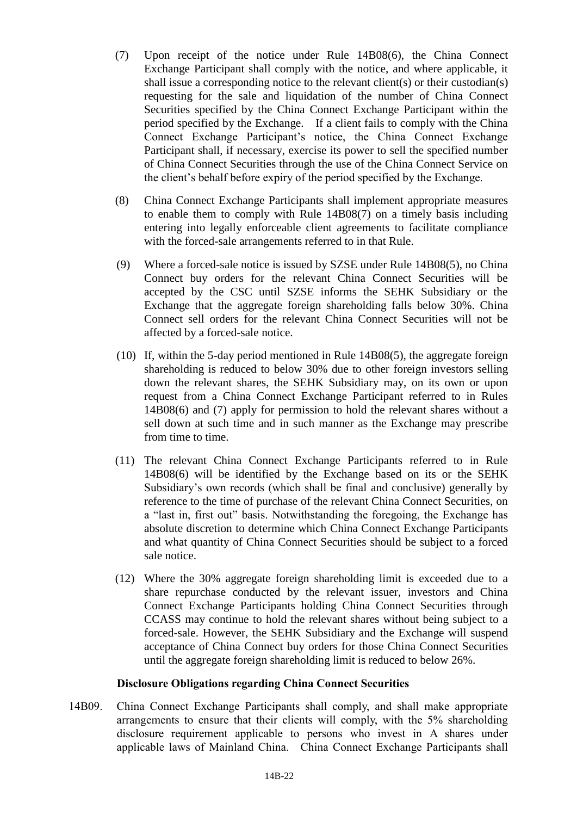- (7) Upon receipt of the notice under Rule 14B08(6), the China Connect Exchange Participant shall comply with the notice, and where applicable, it shall issue a corresponding notice to the relevant client(s) or their custodian(s) requesting for the sale and liquidation of the number of China Connect Securities specified by the China Connect Exchange Participant within the period specified by the Exchange. If a client fails to comply with the China Connect Exchange Participant's notice, the China Connect Exchange Participant shall, if necessary, exercise its power to sell the specified number of China Connect Securities through the use of the China Connect Service on the client's behalf before expiry of the period specified by the Exchange.
- (8) China Connect Exchange Participants shall implement appropriate measures to enable them to comply with Rule 14B08(7) on a timely basis including entering into legally enforceable client agreements to facilitate compliance with the forced-sale arrangements referred to in that Rule.
- (9) Where a forced-sale notice is issued by SZSE under Rule 14B08(5), no China Connect buy orders for the relevant China Connect Securities will be accepted by the CSC until SZSE informs the SEHK Subsidiary or the Exchange that the aggregate foreign shareholding falls below 30%. China Connect sell orders for the relevant China Connect Securities will not be affected by a forced-sale notice.
- (10) If, within the 5-day period mentioned in Rule 14B08(5), the aggregate foreign shareholding is reduced to below 30% due to other foreign investors selling down the relevant shares, the SEHK Subsidiary may, on its own or upon request from a China Connect Exchange Participant referred to in Rules 14B08(6) and (7) apply for permission to hold the relevant shares without a sell down at such time and in such manner as the Exchange may prescribe from time to time.
- (11) The relevant China Connect Exchange Participants referred to in Rule 14B08(6) will be identified by the Exchange based on its or the SEHK Subsidiary's own records (which shall be final and conclusive) generally by reference to the time of purchase of the relevant China Connect Securities, on a "last in, first out" basis. Notwithstanding the foregoing, the Exchange has absolute discretion to determine which China Connect Exchange Participants and what quantity of China Connect Securities should be subject to a forced sale notice.
- (12) Where the 30% aggregate foreign shareholding limit is exceeded due to a share repurchase conducted by the relevant issuer, investors and China Connect Exchange Participants holding China Connect Securities through CCASS may continue to hold the relevant shares without being subject to a forced-sale. However, the SEHK Subsidiary and the Exchange will suspend acceptance of China Connect buy orders for those China Connect Securities until the aggregate foreign shareholding limit is reduced to below 26%.

### **Disclosure Obligations regarding China Connect Securities**

14B09. China Connect Exchange Participants shall comply, and shall make appropriate arrangements to ensure that their clients will comply, with the 5% shareholding disclosure requirement applicable to persons who invest in A shares under applicable laws of Mainland China. China Connect Exchange Participants shall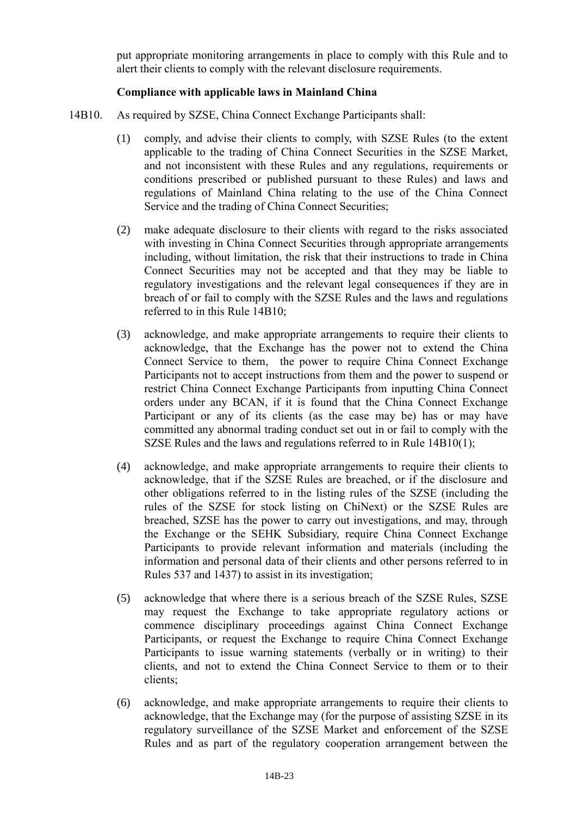put appropriate monitoring arrangements in place to comply with this Rule and to alert their clients to comply with the relevant disclosure requirements.

# **Compliance with applicable laws in Mainland China**

- 14B10. As required by SZSE, China Connect Exchange Participants shall:
	- (1) comply, and advise their clients to comply, with SZSE Rules (to the extent applicable to the trading of China Connect Securities in the SZSE Market, and not inconsistent with these Rules and any regulations, requirements or conditions prescribed or published pursuant to these Rules) and laws and regulations of Mainland China relating to the use of the China Connect Service and the trading of China Connect Securities;
	- (2) make adequate disclosure to their clients with regard to the risks associated with investing in China Connect Securities through appropriate arrangements including, without limitation, the risk that their instructions to trade in China Connect Securities may not be accepted and that they may be liable to regulatory investigations and the relevant legal consequences if they are in breach of or fail to comply with the SZSE Rules and the laws and regulations referred to in this Rule 14B10;
	- (3) acknowledge, and make appropriate arrangements to require their clients to acknowledge, that the Exchange has the power not to extend the China Connect Service to them, the power to require China Connect Exchange Participants not to accept instructions from them and the power to suspend or restrict China Connect Exchange Participants from inputting China Connect orders under any BCAN, if it is found that the China Connect Exchange Participant or any of its clients (as the case may be) has or may have committed any abnormal trading conduct set out in or fail to comply with the SZSE Rules and the laws and regulations referred to in Rule 14B10(1);
	- (4) acknowledge, and make appropriate arrangements to require their clients to acknowledge, that if the SZSE Rules are breached, or if the disclosure and other obligations referred to in the listing rules of the SZSE (including the rules of the SZSE for stock listing on ChiNext) or the SZSE Rules are breached, SZSE has the power to carry out investigations, and may, through the Exchange or the SEHK Subsidiary, require China Connect Exchange Participants to provide relevant information and materials (including the information and personal data of their clients and other persons referred to in Rules 537 and 1437) to assist in its investigation;
	- (5) acknowledge that where there is a serious breach of the SZSE Rules, SZSE may request the Exchange to take appropriate regulatory actions or commence disciplinary proceedings against China Connect Exchange Participants, or request the Exchange to require China Connect Exchange Participants to issue warning statements (verbally or in writing) to their clients, and not to extend the China Connect Service to them or to their clients;
	- (6) acknowledge, and make appropriate arrangements to require their clients to acknowledge, that the Exchange may (for the purpose of assisting SZSE in its regulatory surveillance of the SZSE Market and enforcement of the SZSE Rules and as part of the regulatory cooperation arrangement between the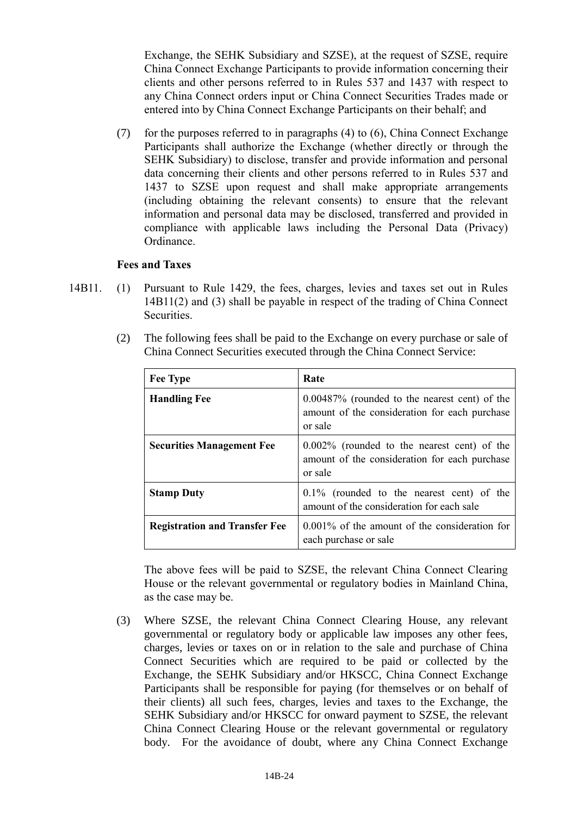Exchange, the SEHK Subsidiary and SZSE), at the request of SZSE, require China Connect Exchange Participants to provide information concerning their clients and other persons referred to in Rules 537 and 1437 with respect to any China Connect orders input or China Connect Securities Trades made or entered into by China Connect Exchange Participants on their behalf; and

(7) for the purposes referred to in paragraphs  $(4)$  to  $(6)$ , China Connect Exchange Participants shall authorize the Exchange (whether directly or through the SEHK Subsidiary) to disclose, transfer and provide information and personal data concerning their clients and other persons referred to in Rules 537 and 1437 to SZSE upon request and shall make appropriate arrangements (including obtaining the relevant consents) to ensure that the relevant information and personal data may be disclosed, transferred and provided in compliance with applicable laws including the Personal Data (Privacy) Ordinance.

#### **Fees and Taxes**

14B11. (1) Pursuant to Rule 1429, the fees, charges, levies and taxes set out in Rules 14B11(2) and (3) shall be payable in respect of the trading of China Connect Securities.

| <b>Fee Type</b>                      | Rate                                                                                                         |
|--------------------------------------|--------------------------------------------------------------------------------------------------------------|
| <b>Handling Fee</b>                  | $0.00487\%$ (rounded to the nearest cent) of the<br>amount of the consideration for each purchase<br>or sale |
| <b>Securities Management Fee</b>     | $0.002\%$ (rounded to the nearest cent) of the<br>amount of the consideration for each purchase<br>or sale   |
| <b>Stamp Duty</b>                    | $0.1\%$ (rounded to the nearest cent) of the<br>amount of the consideration for each sale                    |
| <b>Registration and Transfer Fee</b> | $0.001\%$ of the amount of the consideration for<br>each purchase or sale                                    |

(2) The following fees shall be paid to the Exchange on every purchase or sale of China Connect Securities executed through the China Connect Service:

The above fees will be paid to SZSE, the relevant China Connect Clearing House or the relevant governmental or regulatory bodies in Mainland China, as the case may be.

(3) Where SZSE, the relevant China Connect Clearing House, any relevant governmental or regulatory body or applicable law imposes any other fees, charges, levies or taxes on or in relation to the sale and purchase of China Connect Securities which are required to be paid or collected by the Exchange, the SEHK Subsidiary and/or HKSCC, China Connect Exchange Participants shall be responsible for paying (for themselves or on behalf of their clients) all such fees, charges, levies and taxes to the Exchange, the SEHK Subsidiary and/or HKSCC for onward payment to SZSE, the relevant China Connect Clearing House or the relevant governmental or regulatory body. For the avoidance of doubt, where any China Connect Exchange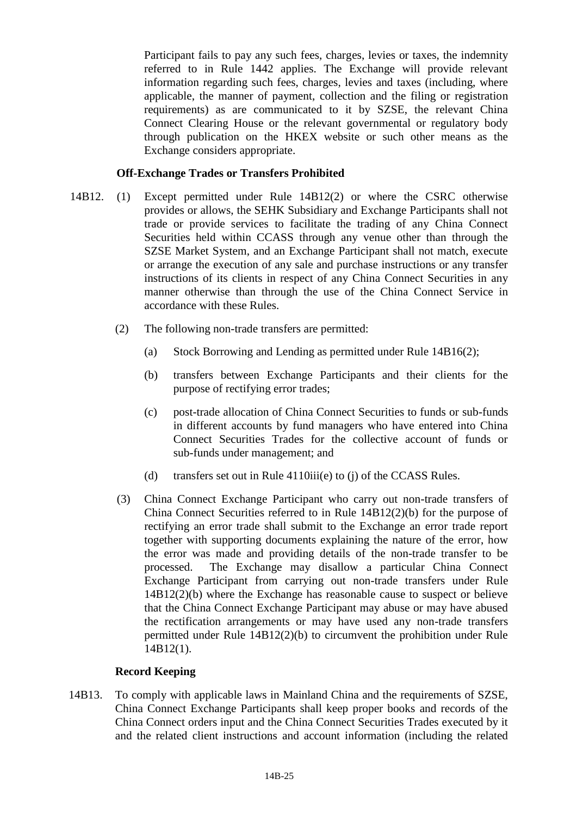Participant fails to pay any such fees, charges, levies or taxes, the indemnity referred to in Rule 1442 applies. The Exchange will provide relevant information regarding such fees, charges, levies and taxes (including, where applicable, the manner of payment, collection and the filing or registration requirements) as are communicated to it by SZSE, the relevant China Connect Clearing House or the relevant governmental or regulatory body through publication on the HKEX website or such other means as the Exchange considers appropriate.

### **Off-Exchange Trades or Transfers Prohibited**

- 14B12. (1) Except permitted under Rule 14B12(2) or where the CSRC otherwise provides or allows, the SEHK Subsidiary and Exchange Participants shall not trade or provide services to facilitate the trading of any China Connect Securities held within CCASS through any venue other than through the SZSE Market System, and an Exchange Participant shall not match, execute or arrange the execution of any sale and purchase instructions or any transfer instructions of its clients in respect of any China Connect Securities in any manner otherwise than through the use of the China Connect Service in accordance with these Rules.
	- (2) The following non-trade transfers are permitted:
		- (a) Stock Borrowing and Lending as permitted under Rule 14B16(2);
		- (b) transfers between Exchange Participants and their clients for the purpose of rectifying error trades;
		- (c) post-trade allocation of China Connect Securities to funds or sub-funds in different accounts by fund managers who have entered into China Connect Securities Trades for the collective account of funds or sub-funds under management; and
		- (d) transfers set out in Rule 4110iii(e) to (j) of the CCASS Rules.
	- (3) China Connect Exchange Participant who carry out non-trade transfers of China Connect Securities referred to in Rule 14B12(2)(b) for the purpose of rectifying an error trade shall submit to the Exchange an error trade report together with supporting documents explaining the nature of the error, how the error was made and providing details of the non-trade transfer to be processed. The Exchange may disallow a particular China Connect Exchange Participant from carrying out non-trade transfers under Rule 14B12(2)(b) where the Exchange has reasonable cause to suspect or believe that the China Connect Exchange Participant may abuse or may have abused the rectification arrangements or may have used any non-trade transfers permitted under Rule 14B12(2)(b) to circumvent the prohibition under Rule 14B12(1).

# **Record Keeping**

14B13. To comply with applicable laws in Mainland China and the requirements of SZSE, China Connect Exchange Participants shall keep proper books and records of the China Connect orders input and the China Connect Securities Trades executed by it and the related client instructions and account information (including the related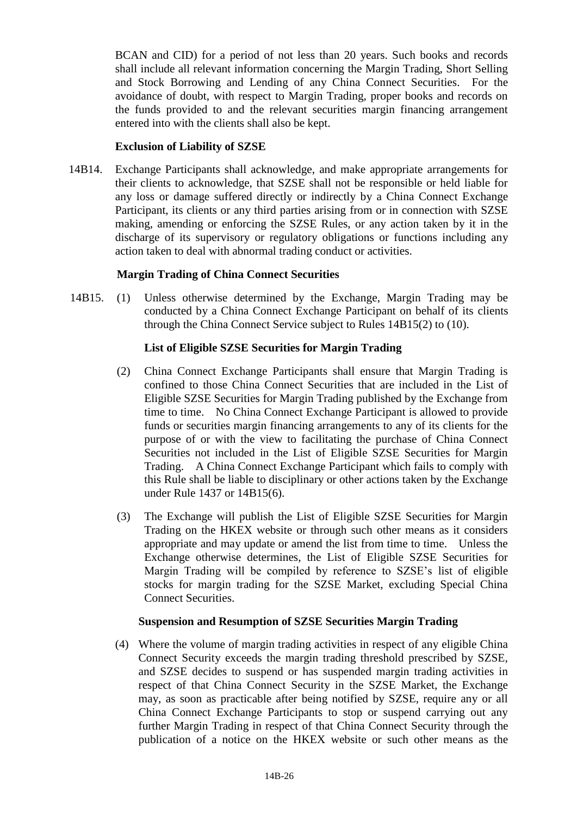BCAN and CID) for a period of not less than 20 years. Such books and records shall include all relevant information concerning the Margin Trading, Short Selling and Stock Borrowing and Lending of any China Connect Securities. For the avoidance of doubt, with respect to Margin Trading, proper books and records on the funds provided to and the relevant securities margin financing arrangement entered into with the clients shall also be kept.

# **Exclusion of Liability of SZSE**

14B14. Exchange Participants shall acknowledge, and make appropriate arrangements for their clients to acknowledge, that SZSE shall not be responsible or held liable for any loss or damage suffered directly or indirectly by a China Connect Exchange Participant, its clients or any third parties arising from or in connection with SZSE making, amending or enforcing the SZSE Rules, or any action taken by it in the discharge of its supervisory or regulatory obligations or functions including any action taken to deal with abnormal trading conduct or activities.

# **Margin Trading of China Connect Securities**

14B15. (1) Unless otherwise determined by the Exchange, Margin Trading may be conducted by a China Connect Exchange Participant on behalf of its clients through the China Connect Service subject to Rules 14B15(2) to (10).

# **List of Eligible SZSE Securities for Margin Trading**

- (2) China Connect Exchange Participants shall ensure that Margin Trading is confined to those China Connect Securities that are included in the List of Eligible SZSE Securities for Margin Trading published by the Exchange from time to time. No China Connect Exchange Participant is allowed to provide funds or securities margin financing arrangements to any of its clients for the purpose of or with the view to facilitating the purchase of China Connect Securities not included in the List of Eligible SZSE Securities for Margin Trading. A China Connect Exchange Participant which fails to comply with this Rule shall be liable to disciplinary or other actions taken by the Exchange under Rule 1437 or 14B15(6).
- (3) The Exchange will publish the List of Eligible SZSE Securities for Margin Trading on the HKEX website or through such other means as it considers appropriate and may update or amend the list from time to time. Unless the Exchange otherwise determines, the List of Eligible SZSE Securities for Margin Trading will be compiled by reference to SZSE's list of eligible stocks for margin trading for the SZSE Market, excluding Special China Connect Securities.

#### **Suspension and Resumption of SZSE Securities Margin Trading**

(4) Where the volume of margin trading activities in respect of any eligible China Connect Security exceeds the margin trading threshold prescribed by SZSE, and SZSE decides to suspend or has suspended margin trading activities in respect of that China Connect Security in the SZSE Market, the Exchange may, as soon as practicable after being notified by SZSE, require any or all China Connect Exchange Participants to stop or suspend carrying out any further Margin Trading in respect of that China Connect Security through the publication of a notice on the HKEX website or such other means as the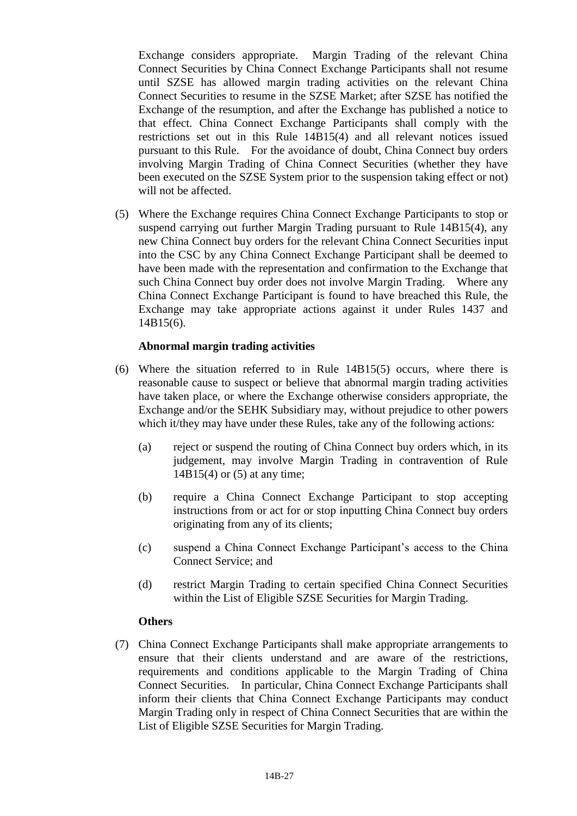Exchange considers appropriate. Margin Trading of the relevant China Connect Securities by China Connect Exchange Participants shall not resume until SZSE has allowed margin trading activities on the relevant China Connect Securities to resume in the SZSE Market; after SZSE has notified the Exchange of the resumption, and after the Exchange has published a notice to that effect. China Connect Exchange Participants shall comply with the restrictions set out in this Rule 14B15(4) and all relevant notices issued pursuant to this Rule. For the avoidance of doubt, China Connect buy orders involving Margin Trading of China Connect Securities (whether they have been executed on the SZSE System prior to the suspension taking effect or not) will not be affected.

(5) Where the Exchange requires China Connect Exchange Participants to stop or suspend carrying out further Margin Trading pursuant to Rule 14B15(4), any new China Connect buy orders for the relevant China Connect Securities input into the CSC by any China Connect Exchange Participant shall be deemed to have been made with the representation and confirmation to the Exchange that such China Connect buy order does not involve Margin Trading. Where any China Connect Exchange Participant is found to have breached this Rule, the Exchange may take appropriate actions against it under Rules 1437 and 14B15(6).

### **Abnormal margin trading activities**

- (6) Where the situation referred to in Rule 14B15(5) occurs, where there is reasonable cause to suspect or believe that abnormal margin trading activities have taken place, or where the Exchange otherwise considers appropriate, the Exchange and/or the SEHK Subsidiary may, without prejudice to other powers which it/they may have under these Rules, take any of the following actions:
	- (a) reject or suspend the routing of China Connect buy orders which, in its judgement, may involve Margin Trading in contravention of Rule 14B15(4) or (5) at any time;
	- (b) require a China Connect Exchange Participant to stop accepting instructions from or act for or stop inputting China Connect buy orders originating from any of its clients;
	- (c) suspend a China Connect Exchange Participant's access to the China Connect Service; and
	- (d) restrict Margin Trading to certain specified China Connect Securities within the List of Eligible SZSE Securities for Margin Trading.

#### **Others**

(7) China Connect Exchange Participants shall make appropriate arrangements to ensure that their clients understand and are aware of the restrictions, requirements and conditions applicable to the Margin Trading of China Connect Securities. In particular, China Connect Exchange Participants shall inform their clients that China Connect Exchange Participants may conduct Margin Trading only in respect of China Connect Securities that are within the List of Eligible SZSE Securities for Margin Trading.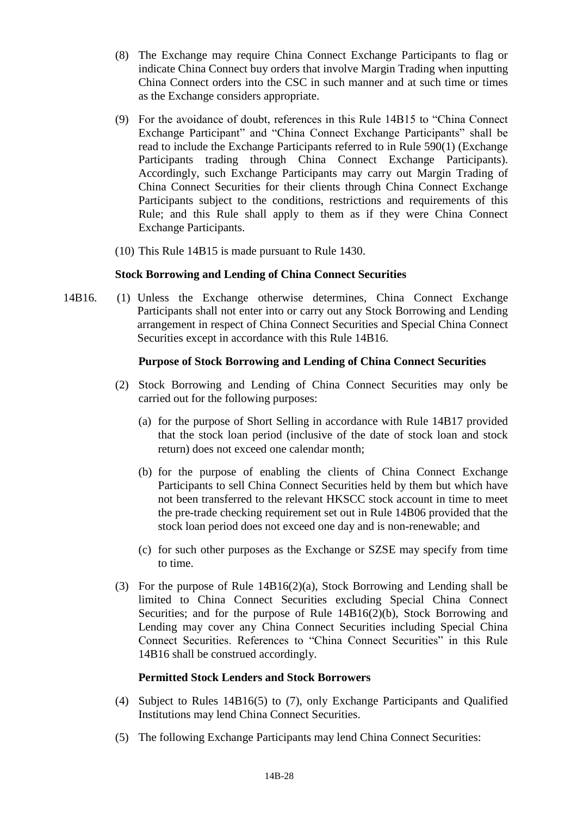- (8) The Exchange may require China Connect Exchange Participants to flag or indicate China Connect buy orders that involve Margin Trading when inputting China Connect orders into the CSC in such manner and at such time or times as the Exchange considers appropriate.
- (9) For the avoidance of doubt, references in this Rule 14B15 to "China Connect Exchange Participant" and "China Connect Exchange Participants" shall be read to include the Exchange Participants referred to in Rule 590(1) (Exchange Participants trading through China Connect Exchange Participants). Accordingly, such Exchange Participants may carry out Margin Trading of China Connect Securities for their clients through China Connect Exchange Participants subject to the conditions, restrictions and requirements of this Rule; and this Rule shall apply to them as if they were China Connect Exchange Participants.
- (10) This Rule 14B15 is made pursuant to Rule 1430.

### **Stock Borrowing and Lending of China Connect Securities**

14B16. (1) Unless the Exchange otherwise determines, China Connect Exchange Participants shall not enter into or carry out any Stock Borrowing and Lending arrangement in respect of China Connect Securities and Special China Connect Securities except in accordance with this Rule 14B16.

### **Purpose of Stock Borrowing and Lending of China Connect Securities**

- (2) Stock Borrowing and Lending of China Connect Securities may only be carried out for the following purposes:
	- (a) for the purpose of Short Selling in accordance with Rule 14B17 provided that the stock loan period (inclusive of the date of stock loan and stock return) does not exceed one calendar month;
	- (b) for the purpose of enabling the clients of China Connect Exchange Participants to sell China Connect Securities held by them but which have not been transferred to the relevant HKSCC stock account in time to meet the pre-trade checking requirement set out in Rule 14B06 provided that the stock loan period does not exceed one day and is non-renewable; and
	- (c) for such other purposes as the Exchange or SZSE may specify from time to time.
- (3) For the purpose of Rule 14B16(2)(a), Stock Borrowing and Lending shall be limited to China Connect Securities excluding Special China Connect Securities; and for the purpose of Rule 14B16(2)(b), Stock Borrowing and Lending may cover any China Connect Securities including Special China Connect Securities. References to "China Connect Securities" in this Rule 14B16 shall be construed accordingly.

# **Permitted Stock Lenders and Stock Borrowers**

- (4) Subject to Rules 14B16(5) to (7), only Exchange Participants and Qualified Institutions may lend China Connect Securities.
- (5) The following Exchange Participants may lend China Connect Securities: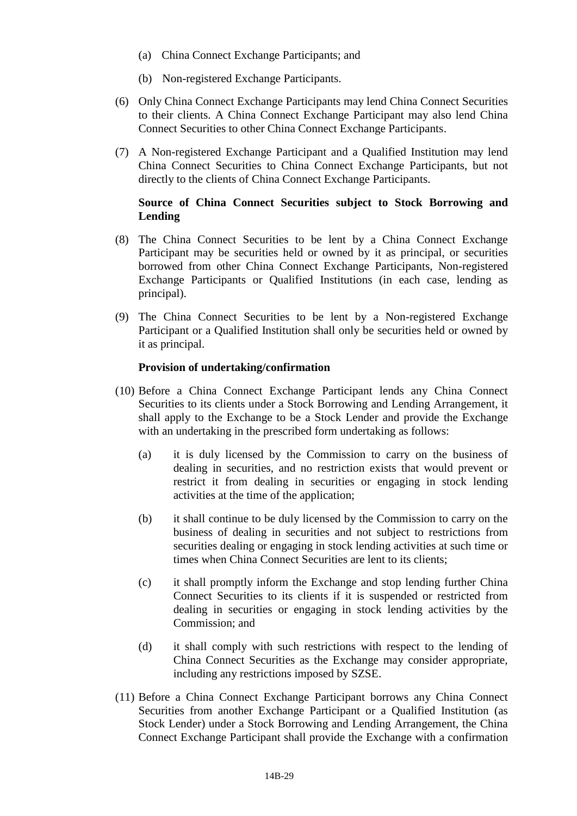- (a) China Connect Exchange Participants; and
- (b) Non-registered Exchange Participants.
- (6) Only China Connect Exchange Participants may lend China Connect Securities to their clients. A China Connect Exchange Participant may also lend China Connect Securities to other China Connect Exchange Participants.
- (7) A Non-registered Exchange Participant and a Qualified Institution may lend China Connect Securities to China Connect Exchange Participants, but not directly to the clients of China Connect Exchange Participants.

### **Source of China Connect Securities subject to Stock Borrowing and Lending**

- (8) The China Connect Securities to be lent by a China Connect Exchange Participant may be securities held or owned by it as principal, or securities borrowed from other China Connect Exchange Participants, Non-registered Exchange Participants or Qualified Institutions (in each case, lending as principal).
- (9) The China Connect Securities to be lent by a Non-registered Exchange Participant or a Qualified Institution shall only be securities held or owned by it as principal.

### **Provision of undertaking/confirmation**

- (10) Before a China Connect Exchange Participant lends any China Connect Securities to its clients under a Stock Borrowing and Lending Arrangement, it shall apply to the Exchange to be a Stock Lender and provide the Exchange with an undertaking in the prescribed form undertaking as follows:
	- (a) it is duly licensed by the Commission to carry on the business of dealing in securities, and no restriction exists that would prevent or restrict it from dealing in securities or engaging in stock lending activities at the time of the application;
	- (b) it shall continue to be duly licensed by the Commission to carry on the business of dealing in securities and not subject to restrictions from securities dealing or engaging in stock lending activities at such time or times when China Connect Securities are lent to its clients;
	- (c) it shall promptly inform the Exchange and stop lending further China Connect Securities to its clients if it is suspended or restricted from dealing in securities or engaging in stock lending activities by the Commission; and
	- (d) it shall comply with such restrictions with respect to the lending of China Connect Securities as the Exchange may consider appropriate, including any restrictions imposed by SZSE.
- (11) Before a China Connect Exchange Participant borrows any China Connect Securities from another Exchange Participant or a Qualified Institution (as Stock Lender) under a Stock Borrowing and Lending Arrangement, the China Connect Exchange Participant shall provide the Exchange with a confirmation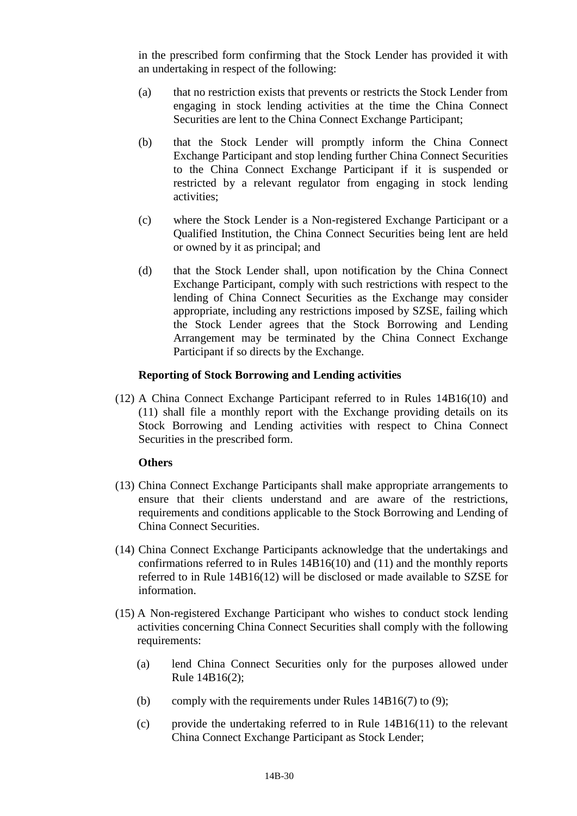in the prescribed form confirming that the Stock Lender has provided it with an undertaking in respect of the following:

- (a) that no restriction exists that prevents or restricts the Stock Lender from engaging in stock lending activities at the time the China Connect Securities are lent to the China Connect Exchange Participant;
- (b) that the Stock Lender will promptly inform the China Connect Exchange Participant and stop lending further China Connect Securities to the China Connect Exchange Participant if it is suspended or restricted by a relevant regulator from engaging in stock lending activities;
- (c) where the Stock Lender is a Non-registered Exchange Participant or a Qualified Institution, the China Connect Securities being lent are held or owned by it as principal; and
- (d) that the Stock Lender shall, upon notification by the China Connect Exchange Participant, comply with such restrictions with respect to the lending of China Connect Securities as the Exchange may consider appropriate, including any restrictions imposed by SZSE, failing which the Stock Lender agrees that the Stock Borrowing and Lending Arrangement may be terminated by the China Connect Exchange Participant if so directs by the Exchange.

### **Reporting of Stock Borrowing and Lending activities**

(12) A China Connect Exchange Participant referred to in Rules 14B16(10) and (11) shall file a monthly report with the Exchange providing details on its Stock Borrowing and Lending activities with respect to China Connect Securities in the prescribed form.

#### **Others**

- (13) China Connect Exchange Participants shall make appropriate arrangements to ensure that their clients understand and are aware of the restrictions, requirements and conditions applicable to the Stock Borrowing and Lending of China Connect Securities.
- (14) China Connect Exchange Participants acknowledge that the undertakings and confirmations referred to in Rules 14B16(10) and (11) and the monthly reports referred to in Rule 14B16(12) will be disclosed or made available to SZSE for information.
- (15) A Non-registered Exchange Participant who wishes to conduct stock lending activities concerning China Connect Securities shall comply with the following requirements:
	- (a) lend China Connect Securities only for the purposes allowed under Rule 14B16(2);
	- (b) comply with the requirements under Rules  $14B16(7)$  to (9);
	- (c) provide the undertaking referred to in Rule 14B16(11) to the relevant China Connect Exchange Participant as Stock Lender;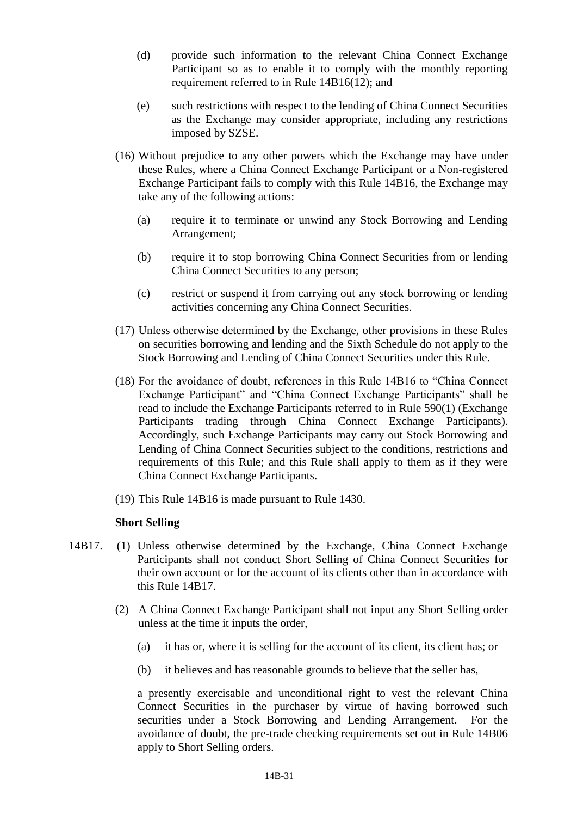- (d) provide such information to the relevant China Connect Exchange Participant so as to enable it to comply with the monthly reporting requirement referred to in Rule 14B16(12); and
- (e) such restrictions with respect to the lending of China Connect Securities as the Exchange may consider appropriate, including any restrictions imposed by SZSE.
- (16) Without prejudice to any other powers which the Exchange may have under these Rules, where a China Connect Exchange Participant or a Non-registered Exchange Participant fails to comply with this Rule 14B16, the Exchange may take any of the following actions:
	- (a) require it to terminate or unwind any Stock Borrowing and Lending Arrangement;
	- (b) require it to stop borrowing China Connect Securities from or lending China Connect Securities to any person;
	- (c) restrict or suspend it from carrying out any stock borrowing or lending activities concerning any China Connect Securities.
- (17) Unless otherwise determined by the Exchange, other provisions in these Rules on securities borrowing and lending and the Sixth Schedule do not apply to the Stock Borrowing and Lending of China Connect Securities under this Rule.
- (18) For the avoidance of doubt, references in this Rule 14B16 to "China Connect Exchange Participant" and "China Connect Exchange Participants" shall be read to include the Exchange Participants referred to in Rule 590(1) (Exchange Participants trading through China Connect Exchange Participants). Accordingly, such Exchange Participants may carry out Stock Borrowing and Lending of China Connect Securities subject to the conditions, restrictions and requirements of this Rule; and this Rule shall apply to them as if they were China Connect Exchange Participants.
- (19) This Rule 14B16 is made pursuant to Rule 1430.

#### **Short Selling**

- 14B17. (1) Unless otherwise determined by the Exchange, China Connect Exchange Participants shall not conduct Short Selling of China Connect Securities for their own account or for the account of its clients other than in accordance with this Rule 14B17.
	- (2) A China Connect Exchange Participant shall not input any Short Selling order unless at the time it inputs the order,
		- (a) it has or, where it is selling for the account of its client, its client has; or
		- (b) it believes and has reasonable grounds to believe that the seller has,

a presently exercisable and unconditional right to vest the relevant China Connect Securities in the purchaser by virtue of having borrowed such securities under a Stock Borrowing and Lending Arrangement. For the avoidance of doubt, the pre-trade checking requirements set out in Rule 14B06 apply to Short Selling orders.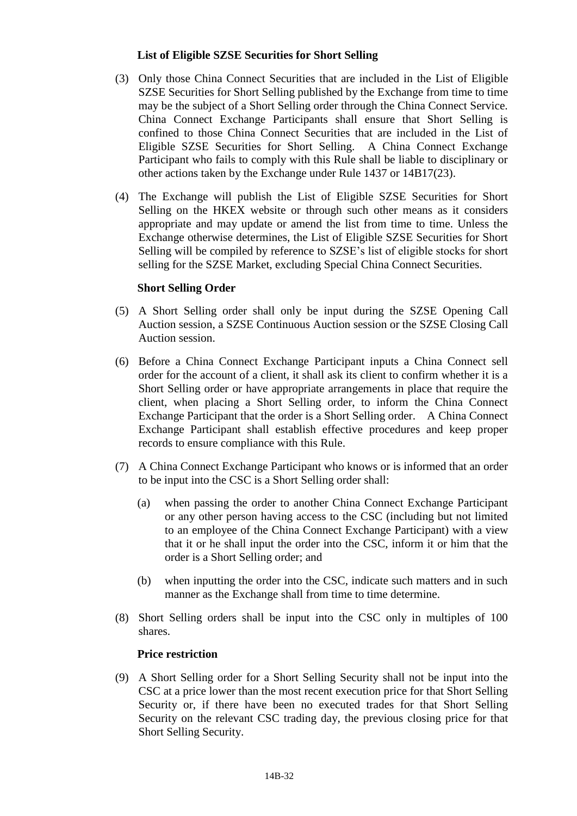### **List of Eligible SZSE Securities for Short Selling**

- (3) Only those China Connect Securities that are included in the List of Eligible SZSE Securities for Short Selling published by the Exchange from time to time may be the subject of a Short Selling order through the China Connect Service. China Connect Exchange Participants shall ensure that Short Selling is confined to those China Connect Securities that are included in the List of Eligible SZSE Securities for Short Selling. A China Connect Exchange Participant who fails to comply with this Rule shall be liable to disciplinary or other actions taken by the Exchange under Rule 1437 or 14B17(23).
- (4) The Exchange will publish the List of Eligible SZSE Securities for Short Selling on the HKEX website or through such other means as it considers appropriate and may update or amend the list from time to time. Unless the Exchange otherwise determines, the List of Eligible SZSE Securities for Short Selling will be compiled by reference to SZSE's list of eligible stocks for short selling for the SZSE Market, excluding Special China Connect Securities.

# **Short Selling Order**

- (5) A Short Selling order shall only be input during the SZSE Opening Call Auction session, a SZSE Continuous Auction session or the SZSE Closing Call Auction session.
- (6) Before a China Connect Exchange Participant inputs a China Connect sell order for the account of a client, it shall ask its client to confirm whether it is a Short Selling order or have appropriate arrangements in place that require the client, when placing a Short Selling order, to inform the China Connect Exchange Participant that the order is a Short Selling order. A China Connect Exchange Participant shall establish effective procedures and keep proper records to ensure compliance with this Rule.
- (7) A China Connect Exchange Participant who knows or is informed that an order to be input into the CSC is a Short Selling order shall:
	- (a) when passing the order to another China Connect Exchange Participant or any other person having access to the CSC (including but not limited to an employee of the China Connect Exchange Participant) with a view that it or he shall input the order into the CSC, inform it or him that the order is a Short Selling order; and
	- (b) when inputting the order into the CSC, indicate such matters and in such manner as the Exchange shall from time to time determine.
- (8) Short Selling orders shall be input into the CSC only in multiples of 100 shares.

### **Price restriction**

(9) A Short Selling order for a Short Selling Security shall not be input into the CSC at a price lower than the most recent execution price for that Short Selling Security or, if there have been no executed trades for that Short Selling Security on the relevant CSC trading day, the previous closing price for that Short Selling Security.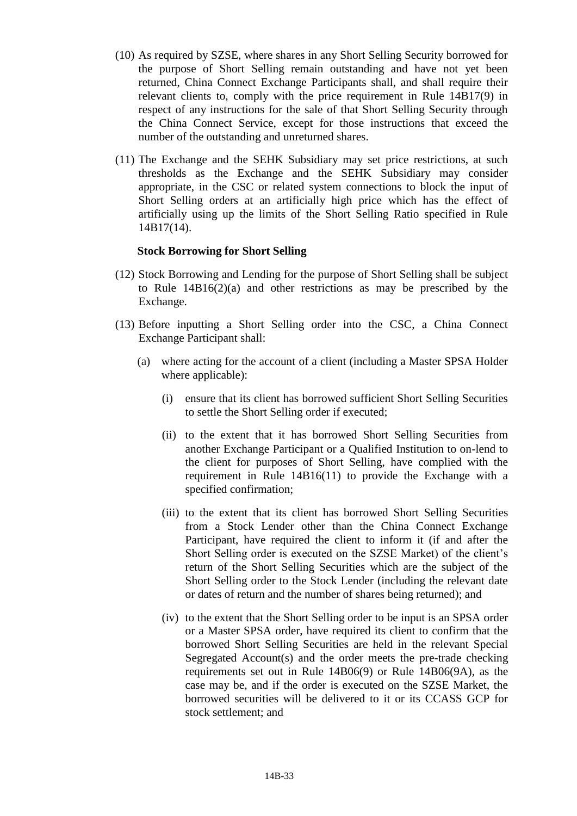- (10) As required by SZSE, where shares in any Short Selling Security borrowed for the purpose of Short Selling remain outstanding and have not yet been returned, China Connect Exchange Participants shall, and shall require their relevant clients to, comply with the price requirement in Rule 14B17(9) in respect of any instructions for the sale of that Short Selling Security through the China Connect Service, except for those instructions that exceed the number of the outstanding and unreturned shares.
- (11) The Exchange and the SEHK Subsidiary may set price restrictions, at such thresholds as the Exchange and the SEHK Subsidiary may consider appropriate, in the CSC or related system connections to block the input of Short Selling orders at an artificially high price which has the effect of artificially using up the limits of the Short Selling Ratio specified in Rule 14B17(14).

#### **Stock Borrowing for Short Selling**

- (12) Stock Borrowing and Lending for the purpose of Short Selling shall be subject to Rule 14B16(2)(a) and other restrictions as may be prescribed by the Exchange.
- (13) Before inputting a Short Selling order into the CSC, a China Connect Exchange Participant shall:
	- (a) where acting for the account of a client (including a Master SPSA Holder where applicable):
		- (i) ensure that its client has borrowed sufficient Short Selling Securities to settle the Short Selling order if executed;
		- (ii) to the extent that it has borrowed Short Selling Securities from another Exchange Participant or a Qualified Institution to on-lend to the client for purposes of Short Selling, have complied with the requirement in Rule 14B16(11) to provide the Exchange with a specified confirmation;
		- (iii) to the extent that its client has borrowed Short Selling Securities from a Stock Lender other than the China Connect Exchange Participant, have required the client to inform it (if and after the Short Selling order is executed on the SZSE Market) of the client's return of the Short Selling Securities which are the subject of the Short Selling order to the Stock Lender (including the relevant date or dates of return and the number of shares being returned); and
		- (iv) to the extent that the Short Selling order to be input is an SPSA order or a Master SPSA order, have required its client to confirm that the borrowed Short Selling Securities are held in the relevant Special Segregated Account(s) and the order meets the pre-trade checking requirements set out in Rule 14B06(9) or Rule 14B06(9A), as the case may be, and if the order is executed on the SZSE Market, the borrowed securities will be delivered to it or its CCASS GCP for stock settlement; and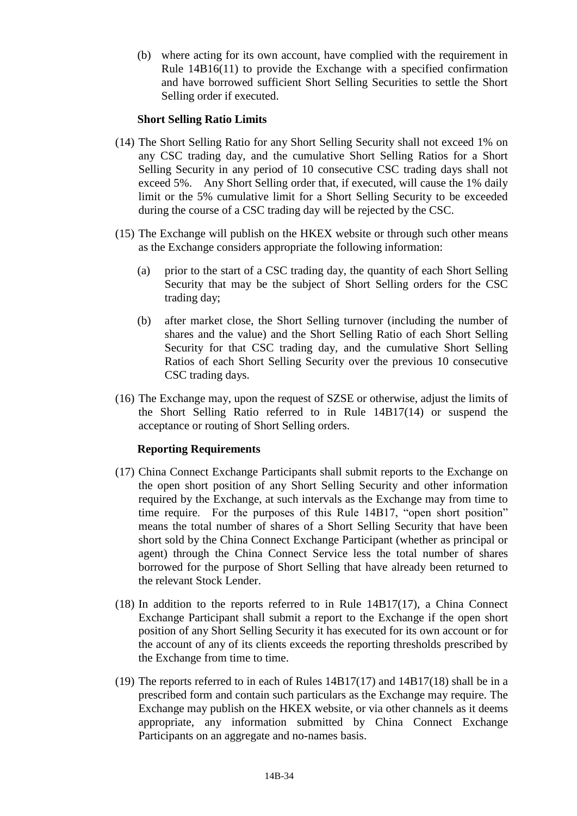(b) where acting for its own account, have complied with the requirement in Rule 14B16(11) to provide the Exchange with a specified confirmation and have borrowed sufficient Short Selling Securities to settle the Short Selling order if executed.

# **Short Selling Ratio Limits**

- (14) The Short Selling Ratio for any Short Selling Security shall not exceed 1% on any CSC trading day, and the cumulative Short Selling Ratios for a Short Selling Security in any period of 10 consecutive CSC trading days shall not exceed 5%. Any Short Selling order that, if executed, will cause the 1% daily limit or the 5% cumulative limit for a Short Selling Security to be exceeded during the course of a CSC trading day will be rejected by the CSC.
- (15) The Exchange will publish on the HKEX website or through such other means as the Exchange considers appropriate the following information:
	- (a) prior to the start of a CSC trading day, the quantity of each Short Selling Security that may be the subject of Short Selling orders for the CSC trading day;
	- (b) after market close, the Short Selling turnover (including the number of shares and the value) and the Short Selling Ratio of each Short Selling Security for that CSC trading day, and the cumulative Short Selling Ratios of each Short Selling Security over the previous 10 consecutive CSC trading days.
- (16) The Exchange may, upon the request of SZSE or otherwise, adjust the limits of the Short Selling Ratio referred to in Rule 14B17(14) or suspend the acceptance or routing of Short Selling orders.

#### **Reporting Requirements**

- (17) China Connect Exchange Participants shall submit reports to the Exchange on the open short position of any Short Selling Security and other information required by the Exchange, at such intervals as the Exchange may from time to time require. For the purposes of this Rule 14B17, "open short position" means the total number of shares of a Short Selling Security that have been short sold by the China Connect Exchange Participant (whether as principal or agent) through the China Connect Service less the total number of shares borrowed for the purpose of Short Selling that have already been returned to the relevant Stock Lender.
- (18) In addition to the reports referred to in Rule 14B17(17), a China Connect Exchange Participant shall submit a report to the Exchange if the open short position of any Short Selling Security it has executed for its own account or for the account of any of its clients exceeds the reporting thresholds prescribed by the Exchange from time to time.
- (19) The reports referred to in each of Rules 14B17(17) and 14B17(18) shall be in a prescribed form and contain such particulars as the Exchange may require. The Exchange may publish on the HKEX website, or via other channels as it deems appropriate, any information submitted by China Connect Exchange Participants on an aggregate and no-names basis.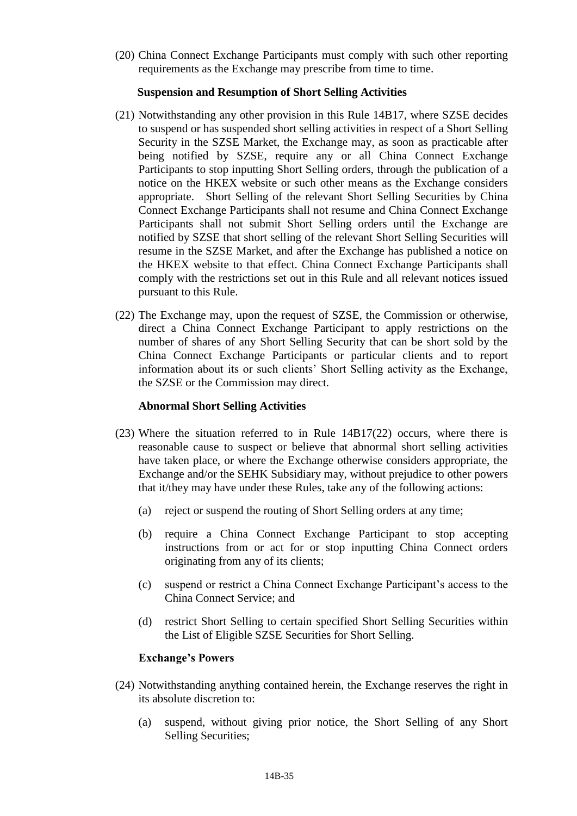(20) China Connect Exchange Participants must comply with such other reporting requirements as the Exchange may prescribe from time to time.

### **Suspension and Resumption of Short Selling Activities**

- (21) Notwithstanding any other provision in this Rule 14B17, where SZSE decides to suspend or has suspended short selling activities in respect of a Short Selling Security in the SZSE Market, the Exchange may, as soon as practicable after being notified by SZSE, require any or all China Connect Exchange Participants to stop inputting Short Selling orders, through the publication of a notice on the HKEX website or such other means as the Exchange considers appropriate. Short Selling of the relevant Short Selling Securities by China Connect Exchange Participants shall not resume and China Connect Exchange Participants shall not submit Short Selling orders until the Exchange are notified by SZSE that short selling of the relevant Short Selling Securities will resume in the SZSE Market, and after the Exchange has published a notice on the HKEX website to that effect. China Connect Exchange Participants shall comply with the restrictions set out in this Rule and all relevant notices issued pursuant to this Rule.
- (22) The Exchange may, upon the request of SZSE, the Commission or otherwise, direct a China Connect Exchange Participant to apply restrictions on the number of shares of any Short Selling Security that can be short sold by the China Connect Exchange Participants or particular clients and to report information about its or such clients' Short Selling activity as the Exchange, the SZSE or the Commission may direct.

# **Abnormal Short Selling Activities**

- (23) Where the situation referred to in Rule 14B17(22) occurs, where there is reasonable cause to suspect or believe that abnormal short selling activities have taken place, or where the Exchange otherwise considers appropriate, the Exchange and/or the SEHK Subsidiary may, without prejudice to other powers that it/they may have under these Rules, take any of the following actions:
	- (a) reject or suspend the routing of Short Selling orders at any time;
	- (b) require a China Connect Exchange Participant to stop accepting instructions from or act for or stop inputting China Connect orders originating from any of its clients;
	- (c) suspend or restrict a China Connect Exchange Participant's access to the China Connect Service; and
	- (d) restrict Short Selling to certain specified Short Selling Securities within the List of Eligible SZSE Securities for Short Selling.

#### **Exchange's Powers**

- (24) Notwithstanding anything contained herein, the Exchange reserves the right in its absolute discretion to:
	- (a) suspend, without giving prior notice, the Short Selling of any Short Selling Securities;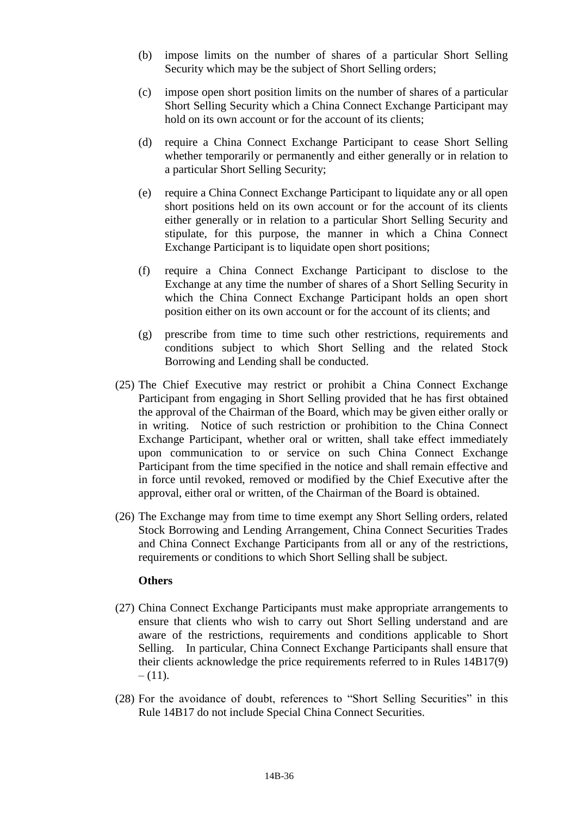- (b) impose limits on the number of shares of a particular Short Selling Security which may be the subject of Short Selling orders;
- (c) impose open short position limits on the number of shares of a particular Short Selling Security which a China Connect Exchange Participant may hold on its own account or for the account of its clients:
- (d) require a China Connect Exchange Participant to cease Short Selling whether temporarily or permanently and either generally or in relation to a particular Short Selling Security;
- (e) require a China Connect Exchange Participant to liquidate any or all open short positions held on its own account or for the account of its clients either generally or in relation to a particular Short Selling Security and stipulate, for this purpose, the manner in which a China Connect Exchange Participant is to liquidate open short positions;
- (f) require a China Connect Exchange Participant to disclose to the Exchange at any time the number of shares of a Short Selling Security in which the China Connect Exchange Participant holds an open short position either on its own account or for the account of its clients; and
- (g) prescribe from time to time such other restrictions, requirements and conditions subject to which Short Selling and the related Stock Borrowing and Lending shall be conducted.
- (25) The Chief Executive may restrict or prohibit a China Connect Exchange Participant from engaging in Short Selling provided that he has first obtained the approval of the Chairman of the Board, which may be given either orally or in writing. Notice of such restriction or prohibition to the China Connect Exchange Participant, whether oral or written, shall take effect immediately upon communication to or service on such China Connect Exchange Participant from the time specified in the notice and shall remain effective and in force until revoked, removed or modified by the Chief Executive after the approval, either oral or written, of the Chairman of the Board is obtained.
- (26) The Exchange may from time to time exempt any Short Selling orders, related Stock Borrowing and Lending Arrangement, China Connect Securities Trades and China Connect Exchange Participants from all or any of the restrictions, requirements or conditions to which Short Selling shall be subject.

#### **Others**

- (27) China Connect Exchange Participants must make appropriate arrangements to ensure that clients who wish to carry out Short Selling understand and are aware of the restrictions, requirements and conditions applicable to Short Selling. In particular, China Connect Exchange Participants shall ensure that their clients acknowledge the price requirements referred to in Rules 14B17(9)  $- (11)$ .
- (28) For the avoidance of doubt, references to "Short Selling Securities" in this Rule 14B17 do not include Special China Connect Securities.